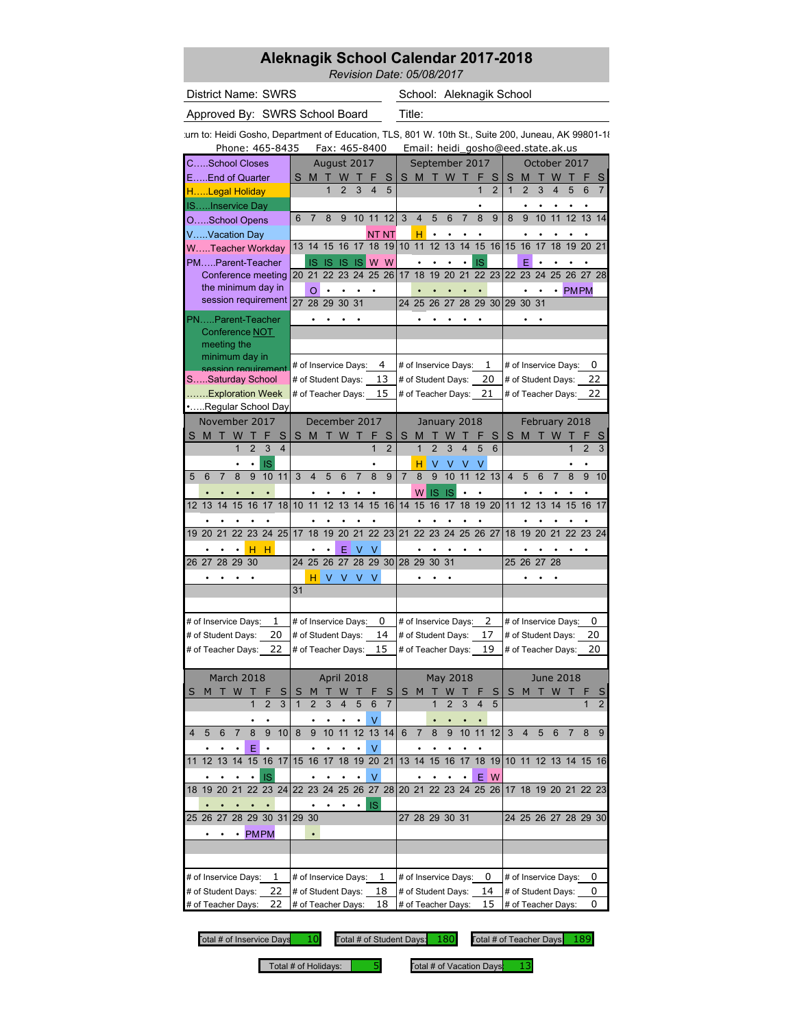# **Aleknagik School Calendar 2017-2018**

*Revision Date: 05/08/2017*

District Name: SWRS
School:

School: Aleknagik School

Approved By: SWRS School Board Title:

Phone: 465-8435 Fax: 465-8400 Email: heidi\_gosho@eed.state.ak.us urn to: Heidi Gosho, Department of Education, TLS, 801 W. 10th St., Suite 200, Juneau, AK 99801-18

| Phone: 465-8435                        | 100-5-8400 -                             |                                | Email: heidi_gosho@eed.state.ak.us                            |                                                         |
|----------------------------------------|------------------------------------------|--------------------------------|---------------------------------------------------------------|---------------------------------------------------------|
| CSchool Closes                         | August 2017                              |                                | September 2017                                                | October 2017                                            |
| EEnd of Quarter                        | S<br>M<br>W                              | S                              | S<br>M<br>W<br>S                                              | S<br>м<br>W                                             |
| HLegal Holiday                         | 1<br>$\overline{2}$                      | 3<br>4<br>5                    | 1<br>$\overline{2}$                                           | $\mathbf{1}$<br>$\overline{2}$<br>3<br>4<br>5<br>6<br>7 |
| ISInservice Day                        |                                          |                                |                                                               |                                                         |
| OSchool Opens                          | 8<br>9<br>6<br>7                         | 10 11 12                       | 3<br>4<br>5<br>6<br>7<br>8<br>9                               | 8<br>10<br>11<br>12 13 14<br>9                          |
| VVacation Day                          |                                          | NT NT                          | н                                                             |                                                         |
| WTeacher Workday                       | 13<br>14<br>15<br>16                     | 19<br>17<br>18                 | 12<br>15<br>10<br>11<br>13<br>14<br>16                        | 15<br>16<br>17<br>18<br>19<br>20<br>21                  |
| PMParent-Teacher                       | IS<br>IS<br>IS                           | W<br>W                         | IS                                                            | E                                                       |
| Conference meeting                     | 20 21<br>22 23                           | 24<br>25<br>26                 | 18<br>19<br>20<br>21<br>22 23<br>17                           | 26 27 28<br>22 23<br>24<br>25                           |
| the minimum day in                     | O<br>٠                                   | ٠                              | $\bullet$<br>$\bullet$<br>$\bullet$<br>$\bullet$<br>$\bullet$ | <b>PMPM</b><br>$\bullet$<br>٠                           |
| session requirement                    | 27<br>28 29<br>30                        | 31                             | 26 27<br>28<br>29 30<br>24<br>25                              | 30 31<br>29                                             |
| PNParent-Teacher                       |                                          |                                |                                                               |                                                         |
| Conference NOT                         |                                          |                                |                                                               |                                                         |
| meeting the                            |                                          |                                |                                                               |                                                         |
| minimum day in                         |                                          |                                |                                                               |                                                         |
| session requirement                    | # of Inservice Days:                     | 4                              | # of Inservice Days:<br>1                                     | 0<br># of Inservice Days:                               |
| SSaturday School                       | # of Student Days:                       | 13                             | 20<br># of Student Days:                                      | 22<br># of Student Days:                                |
| Exploration Week                       | # of Teacher Days:                       | 15                             | 21<br># of Teacher Days:                                      | 22<br># of Teacher Days:                                |
| Regular School Day                     |                                          |                                |                                                               |                                                         |
| November 2017                          | December 2017                            |                                | January 2018                                                  | February 2018                                           |
| M<br>т<br>W<br>т<br>S<br>F<br>S        | M<br>W<br>S<br>т                         | т<br>F<br>S                    | S<br>M<br>S<br>W<br>F                                         | S<br>М<br>T W                                           |
| $\overline{2}$<br>3<br>1<br>4          |                                          | $\mathbf{1}$<br>$\overline{2}$ | $\overline{1}$<br>$\overline{2}$<br>4<br>3<br>5<br>6          | $\overline{2}$<br>3<br>1                                |
| IS                                     |                                          |                                | н<br>٧                                                        |                                                         |
| 8<br>9<br>7<br>10<br>11<br>5<br>6      | 3<br>4<br>5<br>6                         | 8<br>9<br>7                    | $\overline{7}$<br>9<br>11<br>12<br>13<br>8<br>10              | $\overline{4}$<br>5<br>7<br>8<br>9<br>10<br>6           |
|                                        |                                          |                                | W                                                             |                                                         |
| 18<br>17<br>12<br>13<br>14<br>15<br>16 | 12<br>13<br>10<br>11                     | 15<br>16<br>14                 | 17<br>14<br>15<br>16<br>18<br>19<br>20                        | 11<br>13<br>14<br>12<br>15<br>16<br>17                  |
|                                        |                                          |                                |                                                               |                                                         |
| 22<br>23<br>24<br>25<br>20<br>21<br>19 | 17<br>18<br>19<br>20                     | 21<br>22 23                    | 21<br>22<br>23<br>24<br>25<br>26 27                           | 18<br>20<br>$22 \overline{ }$<br>23 24<br>19<br>21      |
| н<br>н                                 |                                          |                                |                                                               |                                                         |
| 28<br>29<br>30<br>26 27                | 25<br>26<br>27<br>24                     | 28 29 30                       | 28 29<br>30<br>31                                             | 25<br>26 27<br>28                                       |
|                                        | н<br>V                                   | V V<br>V                       |                                                               |                                                         |
|                                        | 31                                       |                                |                                                               |                                                         |
|                                        |                                          |                                |                                                               |                                                         |
| 1<br># of Inservice Days:              | # of Inservice Days:                     | 0                              | 2<br># of Inservice Days:                                     | 0<br># of Inservice Days:                               |
| 20<br># of Student Days:               | # of Student Days:                       | 14                             | 17<br># of Student Days:                                      | 20<br># of Student Days:                                |
| 22<br># of Teacher Days:               | # of Teacher Days:                       | 15                             | 19<br># of Teacher Days:                                      | # of Teacher Days:<br>20                                |
|                                        |                                          |                                |                                                               |                                                         |
| March 2018                             | April 2018                               |                                | May 2018                                                      | <b>June 2018</b>                                        |
| S                                      | S                                        | S                              | S<br>S<br>M                                                   | M<br>S                                                  |
| 1<br>$\overline{2}$<br>3               | $\mathbf{1}$<br>$\overline{2}$<br>4<br>3 | 5<br>6<br>$\overline{7}$       | 3<br>5                                                        | 1<br>$\overline{2}$                                     |
|                                        | $\bullet$                                | ٧<br>$\bullet$                 | $\bullet$                                                     |                                                         |
| 9<br>4<br>6<br>7                       | 8<br>10 11                               | 12 13 14                       | 10 11 12                                                      | 3<br>4<br>5<br>8<br>9                                   |
| 10<br>5<br>8                           | 9                                        |                                | 6<br>8<br>9                                                   | 6                                                       |
| Е<br>16 17                             | 18                                       | 19 20 21                       | 15<br>18 19                                                   |                                                         |
| 13<br>14<br>15<br>12<br>11             | 15 16<br>17                              |                                | 13 14<br>16<br>17                                             | 10 11 12 13 14 15 16                                    |
| IS                                     |                                          | v                              | Е<br>W                                                        |                                                         |
| 21<br>22 23 24<br>19<br>20<br>18       | 22 23                                    | 24 25 26 27 28                 | 20 21<br>22 23 24 25 26                                       | 17 18 19 20 21 22 23                                    |
|                                        |                                          | IS                             |                                                               |                                                         |
| 28 29 30 31<br>25 26 27                | 29 30                                    |                                | 27 28 29 30 31                                                | 24 25 26 27 28 29 30                                    |
| • PMPM                                 | $\bullet$                                |                                |                                                               |                                                         |
|                                        |                                          |                                |                                                               |                                                         |
|                                        |                                          |                                |                                                               |                                                         |
| 1<br># of Inservice Days:              | # of Inservice Days:                     | 1                              | # of Inservice Days:<br>0                                     | 0<br># of Inservice Days:                               |
| 22<br># of Student Days:               | # of Student Days:                       | 18                             | 14<br># of Student Days:                                      | 0<br># of Student Days:                                 |
| 22<br># of Teacher Days:               | # of Teacher Days:                       | 18                             | # of Teacher Days:<br>15                                      | # of Teacher Days:<br>0                                 |

Total # of Inservice Days  $10$  Total # of Student Days:  $180$  Total # of Teacher Days:  $189$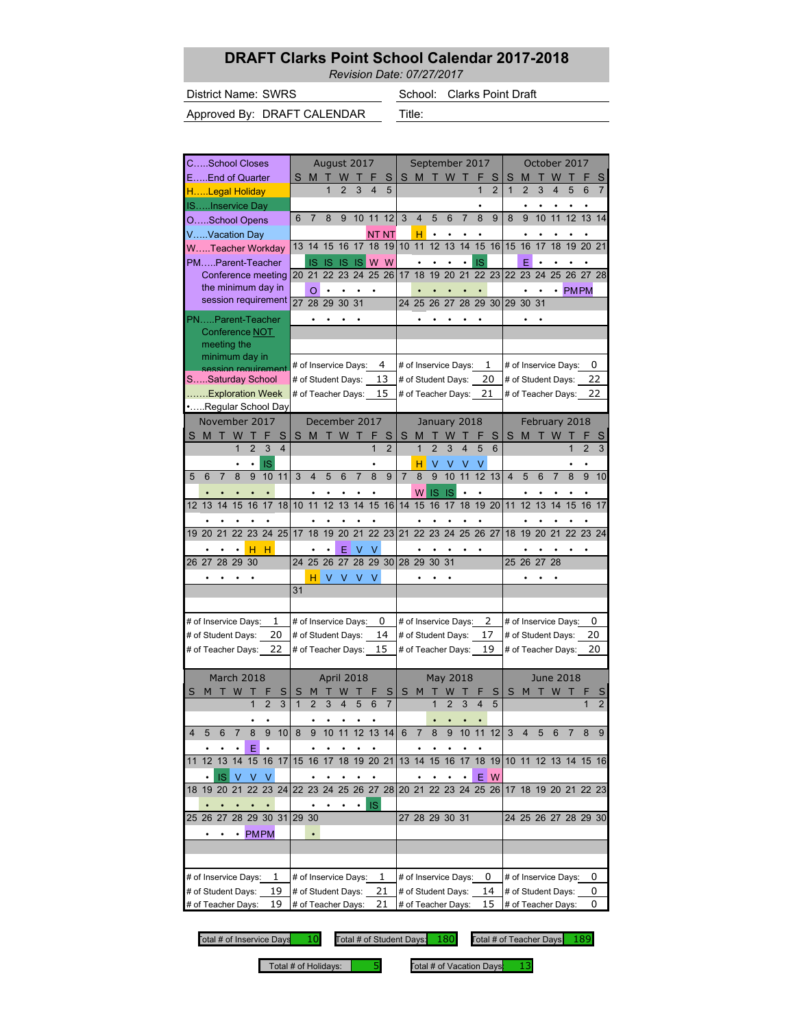#### **DRAFT Clarks Point School Calendar 2017-2018**

*Revision Date: 07/27/2017*

District Name: SWRS
School:

School: Clarks Point Draft

Approved By: DRAFT CALENDAR Title:

| <b>CSchool Closes</b>                               |                                                      |       | August 2017          |                     |                | September 2017       |                |    |                         |                |                |                |                |                    |                | October 2017         |                |     |
|-----------------------------------------------------|------------------------------------------------------|-------|----------------------|---------------------|----------------|----------------------|----------------|----|-------------------------|----------------|----------------|----------------|----------------|--------------------|----------------|----------------------|----------------|-----|
| EEnd of Quarter                                     | S<br>M                                               |       | w                    | S                   | S              | M                    |                | W  |                         |                | S              | S              | М              |                    | w              |                      |                |     |
| HLegal Holiday                                      |                                                      |       | 3                    | 5                   |                |                      |                |    |                         | 1              | $\overline{2}$ | $\overline{1}$ | $\overline{2}$ | 3                  | 4              | 5                    | 6              | 7   |
| ISInservice Day                                     |                                                      |       |                      |                     |                |                      |                |    |                         |                |                |                |                |                    |                |                      |                |     |
| OSchool Opens                                       | $\overline{7}$<br>6                                  | 8     | 9<br>10              | 11<br>12            | 3              | $\overline{4}$       | 5              | 6  | $\overline{7}$          | 8              | 9              | 8              | 9              | 10                 | 11             | 12                   | 13             | 14  |
| VVacation Day                                       |                                                      |       |                      | NT NT               |                | н                    |                |    |                         |                |                |                |                |                    |                |                      |                |     |
| WTeacher Workday                                    | 14<br>13                                             | 15    | 16<br>17             | 18<br>19            |                | 10 11                | 12             | 13 | 14                      | 15             | 16             | 15             | 16             | 17                 | 18             | 19                   | 20 21          |     |
| PMParent-Teacher                                    | IS.                                                  | IS IS |                      | W W                 |                |                      |                |    | $\bullet$               | IS             |                |                | E              |                    |                |                      |                |     |
| Conference meeting                                  | 21<br>20                                             | 22    | 1S<br>23<br>24       | 26<br>25            | 17             | 18                   | 19             | 20 | 21                      | 22 23          |                | 22             | 23             | 24                 | 25             |                      | 26 27          | 28  |
| the minimum day in                                  |                                                      |       |                      |                     |                |                      |                |    |                         |                |                |                |                |                    |                |                      |                |     |
| session requirement                                 | റ                                                    |       |                      | $\bullet$           |                |                      |                |    |                         | $\bullet$      |                |                | ٠              |                    | ٠              | <b>PMPM</b>          |                |     |
|                                                     | 27 28 29 30                                          |       | 31                   |                     |                | 24 25                |                |    |                         | 26 27 28 29 30 |                |                | 29 30 31       |                    |                |                      |                |     |
| PNParent-Teacher                                    |                                                      |       |                      |                     |                |                      |                |    |                         |                |                |                |                |                    |                |                      |                |     |
| Conference NOT                                      |                                                      |       |                      |                     |                |                      |                |    |                         |                |                |                |                |                    |                |                      |                |     |
| meeting the                                         |                                                      |       |                      |                     |                |                      |                |    |                         |                |                |                |                |                    |                |                      |                |     |
| minimum day in                                      | # of Inservice Days:                                 |       |                      | 4                   |                | # of Inservice Days: |                |    |                         | 1              |                |                |                |                    |                | # of Inservice Days: |                | 0   |
| session requirement<br>SSaturday School             | # of Student Days:                                   |       |                      | 13                  |                | # of Student Days:   |                |    |                         | 20             |                |                |                | # of Student Days: |                |                      |                | 22  |
|                                                     |                                                      |       |                      |                     |                |                      |                |    |                         |                |                |                |                |                    |                |                      |                |     |
| Exploration Week                                    | # of Teacher Days:                                   |       |                      | 15                  |                | # of Teacher Days:   |                |    |                         | 21             |                |                |                | # of Teacher Days: |                |                      | 22             |     |
| Regular School Day                                  |                                                      |       |                      |                     |                |                      |                |    |                         |                |                |                |                |                    |                |                      |                |     |
| November 2017                                       |                                                      |       | December 2017        |                     |                |                      | January 2018   |    |                         |                |                |                |                |                    |                | February 2018        |                |     |
| S M<br>W<br>п<br>Т<br>F<br>S                        | S<br>M                                               | Т     | W                    | F<br>S              | S              | М                    |                | W  |                         |                | S              | S              | м              |                    | W              |                      | F              |     |
| $\overline{2}$<br>3<br>1<br>$\overline{\mathbf{4}}$ |                                                      |       |                      | 1<br>$\overline{2}$ |                | $\overline{1}$       | $\overline{2}$ | 3  | $\overline{\mathbf{4}}$ | 5              | 6              |                |                |                    |                | 1                    | $\overline{2}$ | 3   |
| IS<br>$\bullet$<br>$\bullet$                        |                                                      |       |                      |                     |                | н                    | ٧              | v  | V                       | ٧              |                |                |                |                    |                |                      |                |     |
| 9<br>7<br>8<br>10<br>11<br>5<br>6                   | 3<br>4                                               | 5     | 6<br>$\overline{7}$  | 8<br>9              | $\overline{7}$ | 8                    | 9              | 10 | 11                      | 12             | 13             | $\overline{4}$ | 5              | 6                  | $\overline{7}$ | 8                    | 9              | 10  |
|                                                     |                                                      |       |                      |                     |                | W                    | IS             | IS |                         |                |                |                |                |                    |                |                      |                |     |
| 15<br>18<br>13<br>14<br>16<br>17<br>12              | 10<br>11                                             | 12    | 13<br>14             | 15<br>16            | 14             | 15                   | 16             | 17 | 18                      | 19             | 20             | 11             | 12             | 13                 | 14             | 15                   | 16             | -17 |
|                                                     |                                                      |       |                      |                     |                |                      |                |    |                         |                |                |                |                |                    |                |                      |                |     |
| 23<br>25<br>22<br>24<br>19 20<br>21                 | 17<br>18                                             | 19    | 20<br>21             | 22 23               | 21             | 22                   | 23             | 24 | 25                      | 26             | 27             | 18             | 19             | 20                 | 21             | 22                   | 23 24          |     |
|                                                     |                                                      |       |                      |                     |                |                      |                |    |                         |                |                |                |                |                    |                |                      |                |     |
| н<br>н                                              |                                                      |       | Е                    | ν                   |                |                      |                |    |                         |                |                |                |                |                    |                |                      |                |     |
| 26 27<br>28<br>29<br>30                             | 25<br>24                                             | 26    | 28<br>27             | 29 30               |                | 28 29                | 30             | 31 |                         |                |                |                | 25 26          | 27                 | 28             |                      |                |     |
|                                                     | н                                                    | V     | V<br>$\vee$          | V                   |                |                      |                |    |                         |                |                |                |                |                    |                |                      |                |     |
|                                                     | 31                                                   |       |                      |                     |                |                      |                |    |                         |                |                |                |                |                    |                |                      |                |     |
|                                                     |                                                      |       |                      |                     |                |                      |                |    |                         |                |                |                |                |                    |                |                      |                |     |
| 1<br># of Inservice Days:                           |                                                      |       | # of Inservice Days: | 0                   |                | # of Inservice Days: |                |    |                         | 2              |                |                |                |                    |                | # of Inservice Days: |                | 0   |
| 20<br># of Student Days:                            |                                                      |       | # of Student Days:   | 14                  |                | # of Student Days:   |                |    |                         | 17             |                |                |                | # of Student Days: |                |                      | 20             |     |
| # of Teacher Days:<br>22                            |                                                      |       | # of Teacher Days:   | 15                  |                | # of Teacher Days:   |                |    |                         | 19             |                |                |                | # of Teacher Days: |                |                      |                | 20  |
|                                                     |                                                      |       |                      |                     |                |                      |                |    |                         |                |                |                |                |                    |                |                      |                |     |
| March 2018                                          |                                                      |       | April 2018           |                     |                |                      |                |    |                         |                |                |                |                |                    |                | <b>June 2018</b>     |                |     |
|                                                     |                                                      |       |                      |                     |                |                      | May 2018       |    |                         |                |                |                |                |                    |                |                      |                |     |
| 1<br>3                                              | S<br>M<br>$\overline{1}$<br>$\overline{\mathcal{L}}$ |       | 5                    | S<br>6<br>7         | S              | M                    | 1              |    | 3                       |                | S<br>5         | S              | M              |                    |                |                      |                |     |
|                                                     |                                                      |       |                      |                     |                |                      |                |    |                         |                |                |                |                |                    |                |                      |                |     |
|                                                     |                                                      |       |                      |                     |                |                      |                |    |                         |                |                |                |                |                    |                |                      |                |     |
| 4<br>6<br>7<br>8<br>9<br>10<br>5                    | 8<br>9                                               | 10 11 |                      | $12$ 13 14          | 6              | 7                    | 8              | 9  | 10                      | 11             | 12             | 3              | 4              | b                  | 6              |                      | 8              | 9   |
| Е                                                   |                                                      |       |                      |                     |                |                      |                |    |                         |                |                |                |                |                    |                |                      |                |     |
| 15<br>16 17<br>12 13<br>14<br>11                    | 15 <sup>15</sup><br>16                               | 17    | 18<br>19             | 20 21               |                | 13 14                | 15             | 16 | 17                      | 18 19          |                |                |                |                    |                | 10 11 12 13 14 15 16 |                |     |
| V<br>IS                                             |                                                      |       |                      |                     |                |                      |                |    |                         | Е              | W              |                |                |                    |                |                      |                |     |
| 20<br>22 23 24<br>18 19<br>21                       | 22 23                                                |       |                      | 24 25 26 27 28      |                | 20 21 22 23 24 25 26 |                |    |                         |                |                |                |                |                    |                | 17 18 19 20 21 22 23 |                |     |
|                                                     |                                                      |       | ٠                    | IS                  |                |                      |                |    |                         |                |                |                |                |                    |                |                      |                |     |
| 25 26 27 28 29 30 31                                | 29 30                                                |       |                      |                     |                | 27 28 29 30 31       |                |    |                         |                |                |                |                |                    |                | 24 25 26 27 28 29 30 |                |     |
|                                                     |                                                      |       |                      |                     |                |                      |                |    |                         |                |                |                |                |                    |                |                      |                |     |
| <b>PMPM</b><br>$\bullet$                            | $\bullet$                                            |       |                      |                     |                |                      |                |    |                         |                |                |                |                |                    |                |                      |                |     |
|                                                     |                                                      |       |                      |                     |                |                      |                |    |                         |                |                |                |                |                    |                |                      |                |     |
|                                                     |                                                      |       |                      |                     |                |                      |                |    |                         |                |                |                |                |                    |                |                      |                |     |
| 1<br># of Inservice Days:                           | # of Inservice Days:                                 |       |                      | 1                   |                | # of Inservice Days: |                |    |                         | 0              |                |                |                |                    |                | # of Inservice Days: |                | 0   |
| 19<br># of Student Days:                            | # of Student Days:                                   |       |                      | 21                  |                | # of Student Days:   |                |    |                         |                | 14             |                |                | # of Student Days: |                |                      |                | 0   |
| 19<br># of Teacher Days:                            | # of Teacher Days:                                   |       |                      | 21                  |                | # of Teacher Days:   |                |    |                         | 15             |                |                |                | # of Teacher Days: |                |                      |                | 0   |

Total # of Inservice Days  $10$  Total # of Student Days:  $180$  Total # of Teacher Days:  $189$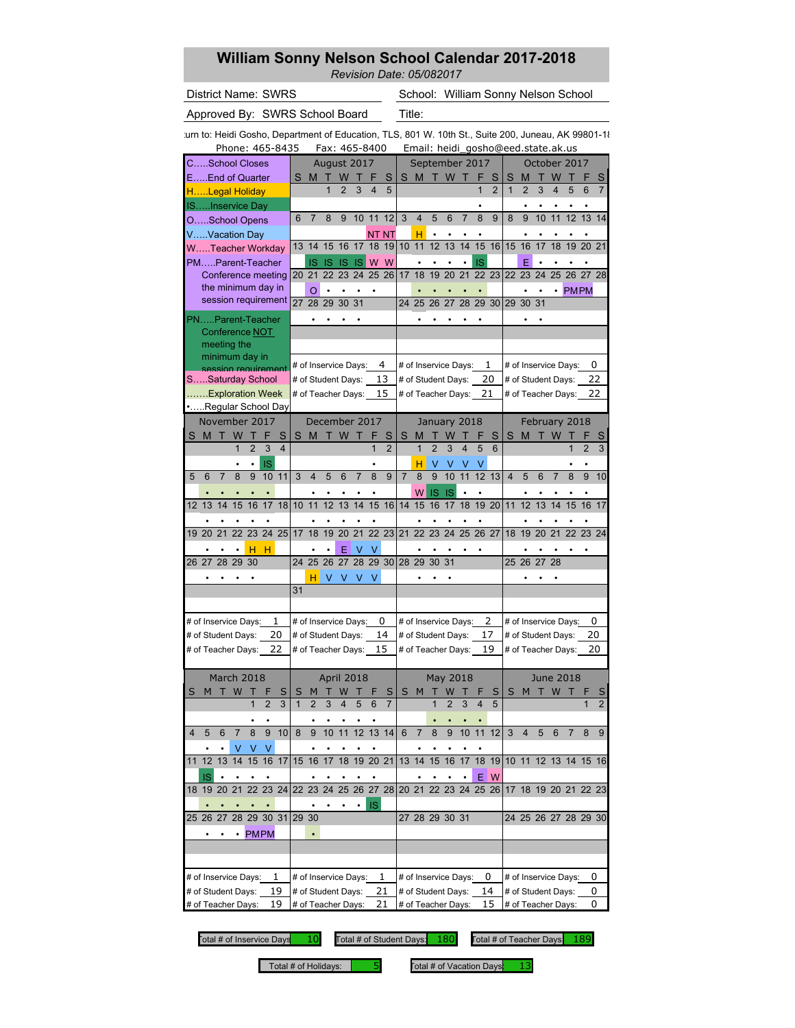# **William Sonny Nelson School Calendar 2017-2018**

*Revision Date: 05/082017*

District Name: SWRS
School:

School: William Sonny Nelson School

Approved By: SWRS School Board Title:

Phone: 465-8435 Fax: 465-8400 Email: heidi\_gosho@eed.state.ak.us lurn to: Heidi Gosho, Department of Education, TLS, 801 W. 10th St., Suite 200, Juneau, AK 99801-18

| Phone: 465-8435                        |                                | 100-5-8400 -             |                                |                     | Email: heidi_gosho@eed.state.ak.us |           |                     |                |                      |                  |                   |                |                |
|----------------------------------------|--------------------------------|--------------------------|--------------------------------|---------------------|------------------------------------|-----------|---------------------|----------------|----------------------|------------------|-------------------|----------------|----------------|
| CSchool Closes                         |                                | August 2017              |                                |                     | September 2017                     |           |                     |                | October 2017         |                  |                   |                |                |
| EEnd of Quarter                        | S<br>M                         | W                        | S                              | S<br>M              | W                                  |           | S                   | S              | м                    | W                |                   |                |                |
| HLegal Holiday                         |                                | 1<br>$\overline{2}$<br>3 | 4<br>5                         |                     |                                    |           | 1<br>$\overline{2}$ | $\mathbf{1}$   | $\overline{2}$<br>3  | 4                | 5                 | 6              | 7              |
| ISInservice Day                        |                                |                          |                                |                     |                                    |           |                     |                |                      |                  |                   |                |                |
| OSchool Opens                          | 6<br>7                         | 8<br>9                   | 10 11 12                       | 3<br>4              | 5<br>6                             | 7         | 8<br>9              | 8              | 10<br>9              | 11               | 12 13 14          |                |                |
| VVacation Day                          |                                |                          | NT NT                          | н                   |                                    |           |                     |                |                      |                  |                   |                |                |
| WTeacher Workday                       | 13<br>14                       | 17<br>15<br>16           | 19<br>18                       | 10<br>11            | 12<br>13                           | 14        | 15<br>16            | 15             | 16<br>17             | 18               | 19                | 20             | 21             |
| PMParent-Teacher                       | IS                             | IS<br>IS                 | W<br>W                         |                     |                                    |           | IS                  |                | E                    |                  |                   |                |                |
| Conference meeting                     | 20 21                          | 22 23<br>24              | 25<br>26                       | 18<br>17            | 19<br>20                           | 21        | 22 23               | 22 23          | 24                   | 25               | 26 27 28          |                |                |
| the minimum day in                     | O                              | ٠                        | ٠                              | $\bullet$           | $\bullet$<br>$\bullet$             | $\bullet$ | $\bullet$           |                | ٠                    | $\bullet$        | <b>PMPM</b>       |                |                |
| session requirement                    | 27<br>28 29                    | 30<br>31                 |                                | 24<br>25            | 26 27                              | 28        | 29 30               | 29             | 30 31                |                  |                   |                |                |
| PNParent-Teacher                       |                                |                          |                                |                     |                                    |           |                     |                |                      |                  |                   |                |                |
| Conference NOT                         |                                |                          |                                |                     |                                    |           |                     |                |                      |                  |                   |                |                |
| meeting the                            |                                |                          |                                |                     |                                    |           |                     |                |                      |                  |                   |                |                |
| minimum day in                         |                                |                          |                                |                     |                                    |           |                     |                |                      |                  |                   |                |                |
| session requirement                    |                                | # of Inservice Days:     | 4                              |                     | # of Inservice Days:               |           | 1                   |                | # of Inservice Days: |                  |                   | 0              |                |
| SSaturday School                       |                                | # of Student Days:       | 13                             |                     | # of Student Days:                 |           | 20                  |                | # of Student Days:   |                  |                   | 22             |                |
| Exploration Week                       |                                | # of Teacher Days:       | 15                             |                     | # of Teacher Days:                 |           | 21                  |                | # of Teacher Days:   |                  |                   | 22             |                |
| Regular School Day                     |                                |                          |                                |                     |                                    |           |                     |                |                      |                  |                   |                |                |
| November 2017                          |                                | December 2017            |                                |                     | January 2018                       |           |                     |                | February 2018        |                  |                   |                |                |
| M<br>т<br>W<br>т<br>S<br>F<br>S        | M<br>S                         | W<br>т<br>т              | F<br>S                         | S<br>M              | W                                  |           | S<br>F              | S              | М                    | T W              |                   |                |                |
| $\overline{2}$<br>3<br>1<br>4          |                                |                          | $\mathbf{1}$<br>$\overline{2}$ | $\overline{1}$      | $\overline{2}$<br>3                | 4         | 5<br>6              |                |                      |                  | 1                 | $\overline{2}$ | 3              |
| IS                                     |                                |                          |                                | н                   | ٧                                  |           |                     |                |                      |                  |                   |                |                |
| 8<br>9<br>7<br>10<br>11<br>5<br>6      | 3<br>4                         | 5<br>6<br>7              | 8<br>9                         | $\overline{7}$<br>8 | 9<br>10                            | 11        | 12<br>13            | $\overline{4}$ | 5<br>6               | 7                | 8                 | 9              | 10             |
|                                        |                                |                          |                                | W                   |                                    |           |                     |                |                      |                  |                   |                |                |
| 18<br>17<br>12<br>13<br>14<br>15<br>16 | 10<br>11                       | 12<br>13<br>14           | 15<br>16                       | 14<br>15            | 17<br>16                           | 18        | 19<br>20            | 11             | 13<br>12             | 14               | 15                | 16             | 17             |
|                                        |                                |                          |                                |                     |                                    |           |                     |                |                      |                  |                   |                |                |
| 22<br>23<br>24<br>25<br>20<br>21<br>19 | 17<br>18                       | 19<br>20<br>21           | 22 23 21                       | 22                  | 23<br>24                           | 25        | 26 27               | 18             | 20<br>19             | 21               | $22 \overline{ }$ | 23 24          |                |
| н<br>н                                 |                                |                          |                                |                     |                                    |           |                     |                |                      |                  |                   |                |                |
| 28<br>29<br>30<br>26 27                | 25<br>24                       | 26<br>27                 | 28 29 30                       | 28 29               | 30<br>31                           |           |                     | 25             | 26 27                | 28               |                   |                |                |
|                                        |                                |                          |                                |                     |                                    |           |                     |                |                      |                  |                   |                |                |
|                                        | н<br>31                        | V<br>V V                 | V                              |                     |                                    |           |                     |                |                      |                  |                   |                |                |
|                                        |                                |                          |                                |                     |                                    |           |                     |                |                      |                  |                   |                |                |
|                                        |                                |                          |                                |                     |                                    |           |                     |                |                      |                  |                   |                |                |
| 1<br># of Inservice Days:              |                                | # of Inservice Days:     | 0                              |                     | # of Inservice Days:               |           | 2                   |                | # of Inservice Days: |                  |                   | 0              |                |
| 20<br># of Student Days:               |                                | # of Student Days:       | 14                             |                     | # of Student Days:                 |           | 17                  |                | # of Student Days:   |                  |                   | 20             |                |
| 22<br># of Teacher Days:               |                                | # of Teacher Days:       | 15                             |                     | # of Teacher Days:                 |           | 19                  |                | # of Teacher Days:   |                  |                   | 20             |                |
|                                        |                                |                          |                                |                     |                                    |           |                     |                |                      |                  |                   |                |                |
| March 2018                             |                                | April 2018               |                                |                     | May 2018                           |           |                     |                |                      | <b>June 2018</b> |                   |                |                |
| S                                      | S                              |                          | S                              | S<br>м              |                                    |           | S                   | S              | M                    |                  |                   |                |                |
| 1<br>$\overline{2}$<br>3               | $\mathbf{1}$<br>$\overline{2}$ | 5<br>3<br>4              | 6<br>$\overline{7}$            |                     |                                    | 3         | 5                   |                |                      |                  |                   | 1              | $\overline{2}$ |
|                                        |                                | $\bullet$                |                                |                     |                                    | $\bullet$ |                     |                |                      |                  |                   |                |                |
| 7<br>9<br>8<br>4<br>6<br>10<br>5       | 8<br>9                         | 10 11 12 13 14           |                                | 6<br>7              | 8<br>9                             |           | 10 11 12            | 3              | 4<br>5               | 6                |                   | 8              | 9              |
|                                        |                                |                          |                                |                     |                                    |           |                     |                |                      |                  |                   |                |                |
| 13<br>16 17<br>12<br>14<br>15<br>11    | 15<br>16                       | 17<br>18                 | 19 20 21                       | 13 14               | 15 16                              | 17        | 18 19               |                | 10 11 12 13 14 15 16 |                  |                   |                |                |
| IS                                     |                                |                          |                                |                     |                                    |           | Е<br>W              |                |                      |                  |                   |                |                |
| 21<br>22 23 24<br>18 19 20             | 22 23                          | 24 25 26 27 28           |                                | 20 21               | 22 23 24 25 26                     |           |                     |                | 17 18 19 20 21 22 23 |                  |                   |                |                |
|                                        |                                |                          | IS                             |                     |                                    |           |                     |                |                      |                  |                   |                |                |
| 28 29 30 31<br>25 26 27                | 29 30                          |                          |                                |                     | 27 28 29 30 31                     |           |                     |                | 24 25 26 27 28 29 30 |                  |                   |                |                |
|                                        |                                |                          |                                |                     |                                    |           |                     |                |                      |                  |                   |                |                |
| • PMPM<br>٠                            | $\bullet$                      |                          |                                |                     |                                    |           |                     |                |                      |                  |                   |                |                |
|                                        |                                |                          |                                |                     |                                    |           |                     |                |                      |                  |                   |                |                |
|                                        |                                |                          |                                |                     |                                    |           |                     |                |                      |                  |                   |                |                |
| 1<br># of Inservice Days:              |                                | # of Inservice Days:     | 1                              |                     | # of Inservice Days:               |           | 0                   |                | # of Inservice Days: |                  |                   | 0              |                |
| 19<br># of Student Days:               |                                | # of Student Days:       | 21                             |                     | # of Student Days:                 |           | 14                  |                | # of Student Days:   |                  |                   | 0              |                |
| 19<br># of Teacher Days:               |                                | # of Teacher Days:       | 21                             |                     | # of Teacher Days:                 |           | 15                  |                | # of Teacher Days:   |                  |                   | 0              |                |

Total # of Inservice Days  $10$  Total # of Student Days:  $180$  Total # of Teacher Days:  $189$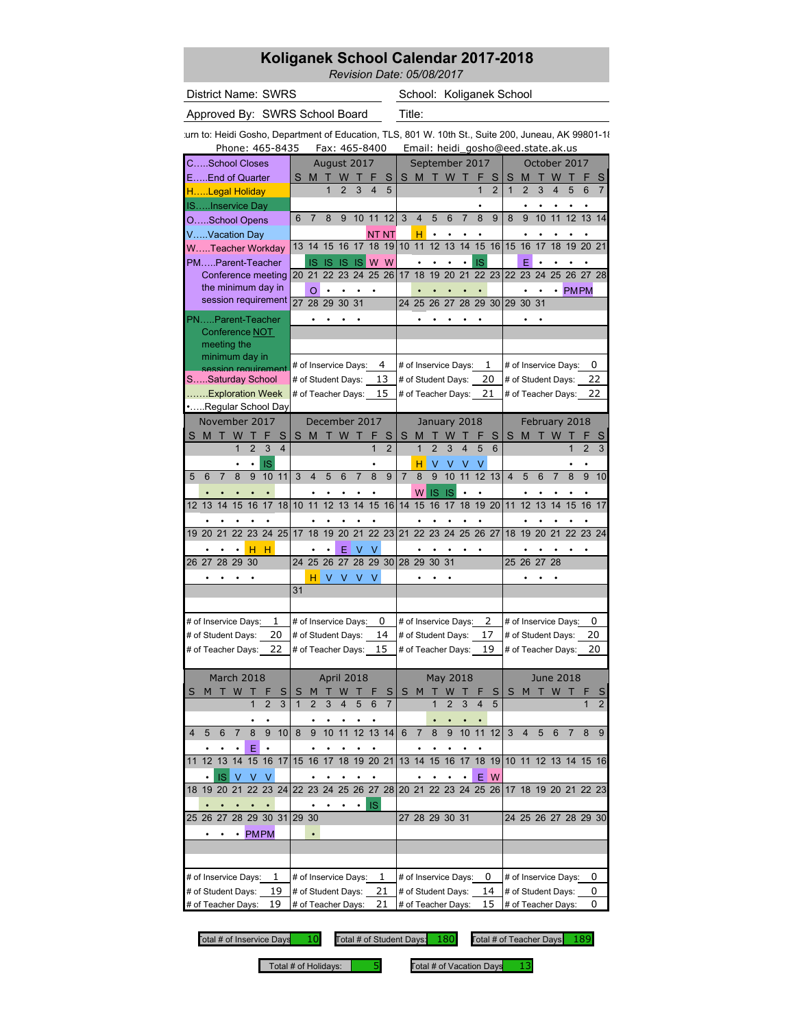# **Koliganek School Calendar 2017-2018**

*Revision Date: 05/08/2017*

District Name: SWRS
School:

School: Koliganek School

Approved By: SWRS School Board Title:

Phone: 465-8435 Fax: 465-8400 Email: heidi\_gosho@eed.state.ak.us urn to: Heidi Gosho, Department of Education, TLS, 801 W. 10th St., Suite 200, Juneau, AK 99801-18

| PHOTE: 403-0433                                      | гах. 40э-о4ии                                                                    | ciliali. Tielui_gosho@eed.state.ak.us                                                               |                                                                     |
|------------------------------------------------------|----------------------------------------------------------------------------------|-----------------------------------------------------------------------------------------------------|---------------------------------------------------------------------|
| CSchool Closes                                       | August 2017                                                                      | September 2017                                                                                      | October 2017                                                        |
| EEnd of Quarter                                      | S<br>W<br>M<br>П<br>Т<br>F<br>S                                                  | T W<br>$\mathsf{M}$<br>F<br>S<br>S<br>т                                                             | S<br>W<br>т<br>F<br>M<br>Т                                          |
| HLegal Holiday                                       | $\overline{2}$<br>3<br>4<br>5                                                    | $\overline{2}$                                                                                      | $\overline{1}$<br>$\overline{2}$<br>3<br>5<br>4<br>6<br>7           |
| ISInservice Day                                      |                                                                                  |                                                                                                     |                                                                     |
| OSchool Opens                                        | 8<br>10 11<br>12<br>6<br>7<br>9                                                  | 3<br>$\overline{4}$<br>5<br>6<br>7<br>8<br>9                                                        | 11<br>8<br>9<br>10<br>12 13<br>14                                   |
| VVacation Day                                        | NT NT                                                                            | н                                                                                                   |                                                                     |
| WTeacher Workday                                     | 15<br>16<br>17<br>18<br>19<br>13<br>14                                           | 13<br>14<br>15<br>16<br>10<br>11<br>12                                                              | 15<br>16<br>17<br>18<br>19<br>20 21                                 |
| PMParent-Teacher                                     | W<br>W<br>IS<br>IS IS<br>1S                                                      | IS                                                                                                  | E                                                                   |
| Conference meeting                                   | 24<br>25<br>26<br>21<br>22<br>23<br>20                                           | 21<br>22 23<br>17<br>18<br>19<br>20                                                                 | 23<br>26 27 28<br>22<br>24<br>25                                    |
| the minimum day in                                   | O                                                                                |                                                                                                     |                                                                     |
| session requirement                                  | 28 29<br>30<br>31<br>27                                                          | 24 25<br>26 27<br>28<br>29 30                                                                       | <b>PMPM</b><br>$\bullet$<br>30 31<br>29                             |
|                                                      |                                                                                  |                                                                                                     |                                                                     |
| PNParent-Teacher                                     |                                                                                  |                                                                                                     |                                                                     |
| Conference NOT                                       |                                                                                  |                                                                                                     |                                                                     |
| meeting the                                          |                                                                                  |                                                                                                     |                                                                     |
| minimum day in<br>session requirement                | 4<br># of Inservice Days:                                                        | # of Inservice Days:<br>1                                                                           | 0<br># of Inservice Days:                                           |
| SSaturday School                                     | 13<br># of Student Days:                                                         | 20<br># of Student Days:                                                                            | 22<br># of Student Days:                                            |
| Exploration Week                                     | 15<br># of Teacher Days:                                                         | 21<br># of Teacher Days:                                                                            | 22<br># of Teacher Days:                                            |
| Regular School Day                                   |                                                                                  |                                                                                                     |                                                                     |
| November 2017                                        | December 2017                                                                    | January 2018                                                                                        | February 2018                                                       |
| т<br>W<br>т<br>M<br>F                                | W<br>S<br>M<br>т                                                                 |                                                                                                     | W                                                                   |
| S<br>S<br>$\overline{2}$<br>3<br>1<br>$\overline{4}$ | S<br>1<br>$\overline{2}$                                                         | S<br>S<br>M<br>w<br>F<br>$\overline{1}$<br>$\overline{2}$<br>$\overline{\mathbf{4}}$<br>3<br>5<br>6 | S<br>М<br>3<br>1<br>$\overline{2}$                                  |
|                                                      |                                                                                  |                                                                                                     |                                                                     |
| IS                                                   |                                                                                  | н<br>V<br>v<br>V<br>v                                                                               |                                                                     |
| 10<br>11<br>8<br>9<br>7<br>5<br>6                    | 3<br>$\overline{7}$<br>8<br>9<br>$\overline{4}$<br>5<br>6                        | 9<br>12<br>$\overline{7}$<br>8<br>10<br>11<br>13                                                    | $\overline{\mathbf{4}}$<br>$\overline{7}$<br>9<br>5<br>6<br>8<br>10 |
|                                                      |                                                                                  | W<br>IS<br><b>IS</b>                                                                                |                                                                     |
| 18<br>13<br>15<br>16<br>17<br>12                     | 10<br>11<br>12<br>13<br>15<br>14<br>16                                           | 14<br>15<br>17<br>18<br>19<br>16<br>20                                                              | 11<br>12<br>13<br>14<br>15<br>16<br>17                              |
|                                                      |                                                                                  |                                                                                                     |                                                                     |
| 22 23<br>24<br>25<br>19 20<br>21                     | 17<br>18<br>19<br>20<br>21<br>22 23                                              | 21<br>22<br>23<br>24<br>25<br>26 27                                                                 | 18<br>19<br>20<br>21<br>$22 \overline{ }$<br>23 24                  |
| н                                                    |                                                                                  |                                                                                                     |                                                                     |
| 28<br>29<br>30<br>26 27                              | 26<br>25<br>27<br>28<br>29<br>30<br>24                                           | 28 29<br>30<br>31                                                                                   | 26 27<br>28<br>25                                                   |
|                                                      | н<br>V<br>V<br>V<br>V                                                            |                                                                                                     |                                                                     |
|                                                      | 31                                                                               |                                                                                                     |                                                                     |
|                                                      |                                                                                  |                                                                                                     |                                                                     |
|                                                      |                                                                                  |                                                                                                     |                                                                     |
| 1<br># of Inservice Days:                            | 0<br># of Inservice Days:                                                        | 2<br># of Inservice Days:                                                                           | 0<br># of Inservice Days:                                           |
| 20<br># of Student Days:                             | # of Student Days:<br>14                                                         | # of Student Days:<br>17                                                                            | 20<br># of Student Days:                                            |
| 22<br># of Teacher Days:                             | 15<br># of Teacher Days:                                                         | 19<br># of Teacher Days:                                                                            | # of Teacher Days:<br>20                                            |
|                                                      |                                                                                  |                                                                                                     |                                                                     |
| <b>March 2018</b>                                    | April 2018                                                                       | May 2018                                                                                            | <b>June 2018</b>                                                    |
| W<br>м                                               | S<br>S<br>M<br>W                                                                 | S<br>M<br>W<br>S                                                                                    | S<br>M<br>W                                                         |
| 1<br>$\overline{\mathcal{L}}$<br>3                   | $\overline{1}$<br>$\overline{\mathcal{L}}$<br>3<br>4<br>5<br>6<br>$\overline{7}$ | 3<br>4<br>5                                                                                         | $\overline{2}$                                                      |
|                                                      |                                                                                  |                                                                                                     |                                                                     |
| 4<br>5<br>6<br>8<br>9<br>10 <sub>l</sub>             | 8<br>9<br>10<br>11 12 13 14                                                      | 6<br>8<br>9 10 11 12                                                                                | 3<br>4<br>$\mathfrak{b}$<br>$\boldsymbol{6}$<br>8                   |
| Е                                                    |                                                                                  |                                                                                                     |                                                                     |
| 15<br>16 17<br>13<br>14<br>12<br>11                  | 19<br>20 21<br>15 <sup>15</sup><br>16<br>18<br>17                                | 15<br>18<br>13 14<br>16<br>17<br>19                                                                 | 10 11 12 13 14 15 16                                                |
|                                                      |                                                                                  |                                                                                                     |                                                                     |
| V<br>V<br>IS<br>V                                    |                                                                                  | Ε<br>W                                                                                              |                                                                     |
| 20<br>22<br>23 24<br>18 19<br>21                     | 22<br>23<br>24<br>25<br>26 27 28                                                 | 20 21<br>22 23 24<br>25 26                                                                          | 17 18 19 20 21 22 23                                                |
|                                                      | IS                                                                               |                                                                                                     |                                                                     |
| 28 29 30 31<br>25 26 27                              | 29 30                                                                            | 27 28 29 30 31                                                                                      | 24 25 26 27 28 29 30                                                |
| <b>PMPM</b><br>٠                                     | $\bullet$                                                                        |                                                                                                     |                                                                     |
|                                                      |                                                                                  |                                                                                                     |                                                                     |
|                                                      |                                                                                  |                                                                                                     |                                                                     |
| 1<br># of Inservice Days:                            | 1<br># of Inservice Days:                                                        | # of Inservice Days:<br>0                                                                           | 0<br># of Inservice Days:                                           |
| 19<br># of Student Days:                             | 21<br># of Student Days:                                                         | # of Student Days:<br>14                                                                            | # of Student Days:<br>0                                             |
| 19<br># of Teacher Days:                             | 21                                                                               | 15<br># of Teacher Days:                                                                            | 0                                                                   |
|                                                      | # of Teacher Days:                                                               |                                                                                                     | # of Teacher Days:                                                  |

Total # of Inservice Days  $\begin{array}{cc} 10 & \text{Total } \text{\#} \text{ of Student Days:} \end{array}$  180  $\begin{array}{cc} \text{Total } \text{\#} \text{ of Teacher Days:} \end{array}$  189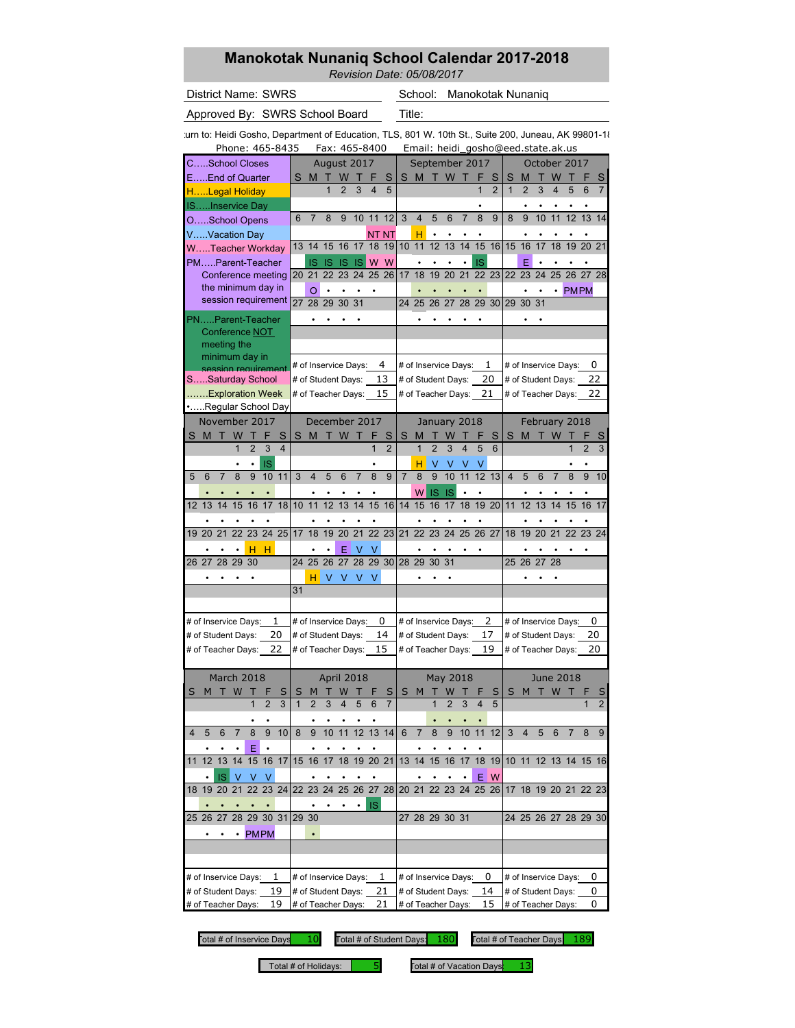# **Manokotak Nunaniq School Calendar 2017-2018**

*Revision Date: 05/08/2017*

District Name: SWRS
School:

School: Manokotak Nunaniq

Approved By: SWRS School Board Title:

Phone: 465-8435 Fax: 465-8400 Email: heidi\_gosho@eed.state.ak.us urn to: Heidi Gosho, Department of Education, TLS, 801 W. 10th St., Suite 200, Juneau, AK 99801-18

| Phone: 465-8435                                |                                     | 68X: 465-8400                 |                                          |                     | Email: heidi_gosho@eed.state.ak.us                         |
|------------------------------------------------|-------------------------------------|-------------------------------|------------------------------------------|---------------------|------------------------------------------------------------|
| CSchool Closes                                 |                                     | August 2017                   | September 2017                           |                     | October 2017                                               |
| EEnd of Quarter                                | S<br>M                              | w<br>S                        | W<br>M<br>S                              | S                   | W<br>S<br>М                                                |
| HLegal Holiday                                 | 1                                   | $\overline{2}$<br>3<br>5      |                                          | 1<br>$\overline{2}$ | $\overline{1}$<br>$\overline{2}$<br>3<br>5<br>4<br>6       |
| ISInservice Day                                |                                     |                               |                                          |                     |                                                            |
| OSchool Opens                                  | 8<br>6<br>7                         | 9<br>10 11<br>12              | 3<br>5<br>4<br>6<br>7                    | 9<br>8              | 11<br>12<br>13<br>14<br>8<br>9<br>10                       |
| VVacation Day                                  |                                     | NT NT                         | н<br>$\bullet$                           |                     |                                                            |
| WTeacher Workday                               | 15<br>13<br>14                      | 16<br>17<br>18<br>19          | 12<br>10<br>11<br>13<br>14               | 15<br>16 15         | 18<br>16<br>17<br>19<br>20 21                              |
| PMParent-Teacher                               | IS<br>IS.                           | W<br>W<br>-IS<br>IS           |                                          | IS                  | E                                                          |
| Conference meeting                             | 21<br>22<br>20                      | 26<br>23<br>24<br>25          | 17<br>18<br>19<br>20<br>21               | 22 23               | 22 23<br>25<br>26 27 28<br>24                              |
| the minimum day in<br>session requirement      | O                                   |                               |                                          |                     | <b>PMPM</b><br>٠                                           |
|                                                | 27<br>28<br>29                      | 30<br>31                      | 26 27<br>28<br>24<br>25                  | 29 30               | 129<br>30 31                                               |
| PNParent-Teacher                               |                                     |                               |                                          |                     |                                                            |
| Conference NOT                                 |                                     |                               |                                          |                     |                                                            |
| meeting the                                    |                                     |                               |                                          |                     |                                                            |
| minimum day in<br>session requirement          | # of Inservice Days:                | 4                             | # of Inservice Days:                     | 1                   | 0<br># of Inservice Days:                                  |
| SSaturday School                               | # of Student Days:                  | 13                            | # of Student Days:                       | 20                  | 22<br># of Student Days:                                   |
| Exploration Week                               | # of Teacher Days:                  | 15                            | # of Teacher Days:                       | 21                  | # of Teacher Days:<br>22                                   |
| •Regular School Day                            |                                     |                               |                                          |                     |                                                            |
| November 2017                                  |                                     | December 2017                 | January 2018                             |                     | February 2018                                              |
| W<br>S M<br>т<br>т<br>F<br>S                   | M<br>S<br>т                         | W<br>F<br>S                   | S<br>M<br>W                              | S                   | S<br><b>W</b><br>M<br>т                                    |
| $\overline{2}$<br>3<br>$\overline{4}$<br>1     |                                     | 1<br>$\overline{2}$           | $\overline{2}$<br>4<br>$\mathbf{1}$<br>3 | 5<br>6              | 1<br>2<br>3                                                |
| IS<br>٠                                        |                                     |                               | н<br>V<br>٧                              | V                   |                                                            |
| $\overline{7}$<br>8<br>9<br>11<br>6<br>10<br>5 | 3<br>4<br>5                         | 8<br>9<br>$\overline{7}$<br>6 | $\overline{7}$<br>9<br>8<br>10<br>11     | 12<br>13            | $\overline{4}$<br>5<br>$\overline{7}$<br>8<br>9<br>10<br>6 |
|                                                |                                     |                               | W<br>IS<br>IS                            |                     |                                                            |
| 17<br>18<br>13<br>14<br>15<br>16<br>12         | 12<br>10<br>11                      | 13<br>15<br>14<br>16          | 17<br>18<br>14<br>15<br>16               | 19 20               | 13<br>11<br>12<br>14<br>15<br>16<br>17                     |
|                                                |                                     |                               |                                          |                     |                                                            |
| 23<br>24<br>25<br>19 20<br>21<br>22            | 17<br>18<br>19                      | 20<br>21<br>22<br>23          | 22<br>23<br>24<br>25<br>21               | 26 27               | 18<br>20<br>22<br>23 24<br>19<br>21                        |
| н<br>н                                         |                                     | V<br>Е                        |                                          |                     |                                                            |
| 26 27<br>28<br>29<br>30                        | 26<br>25<br>24                      | 27<br>28<br>29<br>30          | 28 29<br>30<br>31                        |                     | 28<br>25<br>26<br>27                                       |
|                                                | н<br>V                              | V<br>V<br>- V                 |                                          |                     |                                                            |
|                                                | 31                                  |                               |                                          |                     |                                                            |
|                                                |                                     |                               |                                          |                     |                                                            |
| 1<br># of Inservice Days:                      | # of Inservice Days:                | 0                             | # of Inservice Days:                     | 2                   | 0<br># of Inservice Days:                                  |
| 20<br># of Student Days:                       | # of Student Days:                  | 14                            | # of Student Days:                       | 17                  | # of Student Days:<br>20                                   |
| 22<br># of Teacher Days:                       | # of Teacher Days:                  | 15                            | # of Teacher Days:                       | 19                  | # of Teacher Days:<br>20                                   |
|                                                |                                     |                               |                                          |                     |                                                            |
| <b>March 2018</b>                              |                                     | April 2018                    | May 2018                                 |                     | <b>June 2018</b>                                           |
| S                                              | S<br>M                              | S                             | S<br>м                                   | S                   | S<br>м                                                     |
| 1<br>$\overline{2}$<br>3                       | $\mathbf{1}$<br>$\overline{2}$<br>3 | 5<br>6<br>4<br>7              | 3                                        | 5                   | 1<br>$\overline{2}$                                        |
|                                                |                                     |                               |                                          |                     |                                                            |
| 8<br>9<br>10<br>4<br>6<br>5                    | 8<br>9                              | 10 11<br>12 13 14             | 6<br>9<br>10 11<br>8                     | 12                  | 9<br>5<br>8                                                |
| Е                                              |                                     |                               |                                          |                     |                                                            |
| 13<br>14 15 16 17<br>12<br>11                  | 15 <sup>15</sup><br>16<br>17        | 20 21<br>19<br>18             | 13 <sup>2</sup><br>15<br>16<br>14<br>17  |                     | 18 19 10 11 12 13 14 15 16                                 |
| v                                              |                                     |                               |                                          | W<br>Е              |                                                            |
| 21 22 23 24<br>18 19 20                        | 22 23                               | 24 25 26 27 28                | 20 21                                    |                     | 22 23 24 25 26 17 18 19 20 21 22 23                        |
|                                                |                                     | <b>IS</b><br>$\bullet$<br>٠   |                                          |                     |                                                            |
| 28 29 30 31<br>25 26 27                        | 29 30                               |                               | 27 28 29 30 31                           |                     | 24 25 26 27 28 29 30                                       |
| <b>PMPM</b><br>$\bullet$                       | $\bullet$                           |                               |                                          |                     |                                                            |
|                                                |                                     |                               |                                          |                     |                                                            |
|                                                |                                     |                               |                                          |                     |                                                            |
| # of Inservice Days:<br>1                      | # of Inservice Days:                | 1                             | # of Inservice Days:                     | 0                   | 0<br># of Inservice Days:                                  |
| 19<br># of Student Days:                       | # of Student Days:                  | 21                            | # of Student Days:                       | 14                  | 0<br># of Student Days:                                    |
| 19<br># of Teacher Days:                       | # of Teacher Days:                  | 21                            | # of Teacher Days:                       | 15                  | # of Teacher Days:<br>0                                    |

Total # of Inservice Days  $10$  Total # of Student Days:  $180$  Total # of Teacher Days:  $189$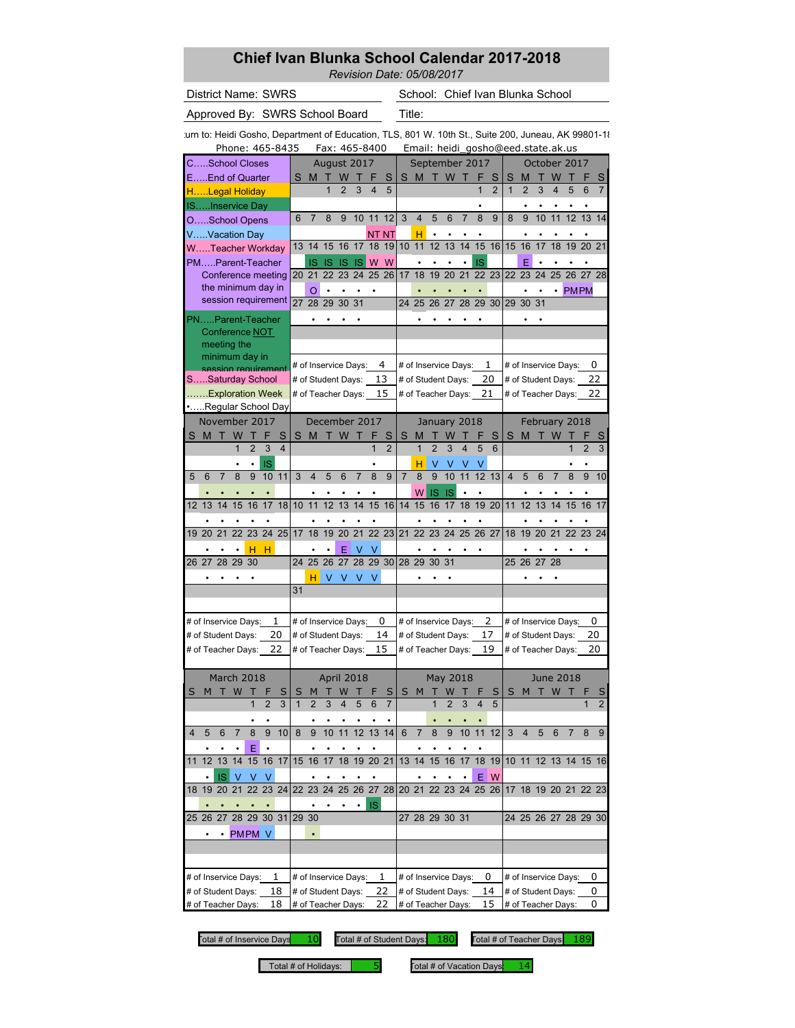#### **Chief Ivan Blunka School Calendar 2017-2018**

*Revision Date: 05/08/2017*

District Name: SWRS
School:

School: Chief Ivan Blunka School

Approved By: SWRS School Board Title:

Phone:  $465-8435$  Fax:  $465-8400$  Email: heidi\_gosho@eed.state urn to: Heidi Gosho, Department of Education, TLS, 801 W. 10th St., Suite 200, Juneau, AK 99801-18

| Prione: 405-8435                                    | rax: 465-8400                           |                | Email: neidi_gosno@eed.state.ak.us                                                                             |
|-----------------------------------------------------|-----------------------------------------|----------------|----------------------------------------------------------------------------------------------------------------|
| CSchool Closes                                      | August 2017                             |                | September 2017<br>October 2017                                                                                 |
| EEnd of Quarter                                     | S M<br>п<br>W<br>Т                      | S              | T W T<br>$\mathsf{M}$<br>F<br>S<br>S<br>W<br>т<br>F<br>S<br>M<br>т                                             |
| HLegal Holiday                                      | $\overline{2}$<br>3<br>$\overline{4}$   | 5              | $\overline{2}$<br>$\overline{1}$<br>$\overline{2}$<br>3<br>$\overline{7}$<br>1<br>4<br>5<br>6                  |
| ISInservice Day                                     |                                         |                |                                                                                                                |
| OSchool Opens                                       | $\overline{7}$<br>8<br>9<br>10 11<br>6  | 12             | 5<br>6<br>11<br>12 13 14<br>3<br>$\overline{4}$<br>7<br>8<br>9<br>8<br>9<br>10                                 |
| VVacation Day                                       |                                         | NT NT          | н                                                                                                              |
| WTeacher Workday                                    | 17<br>18<br>14<br>15<br>16<br>13        | 19             | 15<br>10<br>11<br>12<br>13<br>14<br>16 15<br>16<br>18<br>20 21<br>17<br>19                                     |
| PMParent-Teacher                                    | W<br>IS<br><b>IS IS</b><br>-IS          | W              | IS<br>E<br>$\bullet$<br>$\bullet$<br>$\bullet$<br>$\bullet$<br>$\bullet$                                       |
| Conference meeting                                  | 25<br>21<br>22<br>23<br>24<br>20        | 26             | 21<br>22 23<br>22<br>23<br>25<br>26 27 28<br>18<br>19<br>20<br>24<br>17                                        |
| the minimum day in<br>session requirement           | O                                       |                | <b>PMPM</b><br>$\bullet$                                                                                       |
|                                                     | 27<br>28 29 30 31                       |                | 26 27<br>28 29 30<br>24 25<br>$ 29\rangle$<br>30 31                                                            |
| PNParent-Teacher                                    |                                         |                |                                                                                                                |
| Conference NOT                                      |                                         |                |                                                                                                                |
| meeting the<br>minimum day in                       |                                         |                |                                                                                                                |
| session requirement                                 | # of Inservice Days:                    | 4              | 0<br># of Inservice Days:<br>1<br># of Inservice Days:                                                         |
| SSaturday School                                    | # of Student Days:                      | 13             | # of Student Days:<br>20<br># of Student Days:<br>22                                                           |
| Exploration Week                                    | # of Teacher Days:                      | 15             | # of Teacher Days:<br>21<br># of Teacher Days:<br>22                                                           |
| Regular School Day                                  |                                         |                |                                                                                                                |
| November 2017                                       | December 2017                           |                | January 2018<br>February 2018                                                                                  |
| W<br>M<br>Т<br>Т<br>F<br>S<br>S                     | S<br>W<br>M<br>F<br>т                   | S              | S<br>M<br>S<br>S<br>W<br>W<br>М<br>F<br>ш                                                                      |
| $\overline{2}$<br>3<br>$\overline{\mathbf{4}}$<br>1 | 1                                       | $\overline{2}$ | $\overline{2}$<br>3<br>4<br>$\overline{1}$<br>5<br>$\overline{2}$<br>3<br>6<br>1                               |
| <b>IS</b>                                           |                                         |                | н<br>٧<br>٧<br>٧<br>v                                                                                          |
| 8<br>9<br>7<br>10 <sup>1</sup><br>11<br>5<br>6      | $\overline{7}$<br>8<br>3<br>4<br>5<br>6 | 9              | $\overline{7}$<br>9<br>10<br>11<br>12<br>13<br>$\overline{7}$<br>8<br>$\overline{4}$<br>5<br>6<br>8<br>9<br>10 |
|                                                     |                                         |                | W<br>IS<br><b>IS</b>                                                                                           |
| 13<br>17<br>18<br>14<br>15<br>16                    | 12<br>13<br>15<br>10<br>11<br>14        | 16             | 15<br>17<br>18<br>19<br>20<br>12<br>13<br>14<br>14<br>16<br>11<br>15<br>16<br>17                               |
|                                                     |                                         |                |                                                                                                                |
| 22 23<br>24 25<br>19 20<br>21                       | 17<br>18<br>19<br>20<br>21              | 22 23          | 22<br>23<br>24<br>25<br>26 27<br>18<br>19<br>20<br>21<br>23 24<br>21<br>22                                     |
| н<br>н                                              | V                                       |                |                                                                                                                |
| 28<br>30<br>26 27<br>29                             | 26<br>28<br>24<br>25<br>27              | 29 30          | 28<br>28 29<br>30<br>31<br>25 26 27                                                                            |
|                                                     | н<br>V<br>V<br>V<br>V                   |                |                                                                                                                |
|                                                     | 31                                      |                |                                                                                                                |
|                                                     |                                         |                |                                                                                                                |
| 1<br># of Inservice Days:                           | # of Inservice Days:                    | 0              | 2<br>0<br># of Inservice Days:<br># of Inservice Days:                                                         |
| 20<br># of Student Days:                            | # of Student Days:                      | 14             | 17<br>20<br># of Student Days:<br># of Student Days:                                                           |
| 22<br># of Teacher Days:                            | # of Teacher Days:                      | 15             | # of Teacher Days:<br>19<br># of Teacher Days:<br>20                                                           |
|                                                     |                                         |                |                                                                                                                |
| <b>March 2018</b>                                   | April 2018                              |                | <b>June 2018</b><br>May 2018                                                                                   |
|                                                     | S                                       | S              | S<br>S<br>S<br>M                                                                                               |
| 1<br>3                                              | $\overline{1}$<br>$\overline{2}$<br>5   | 7              | $\overline{2}$<br>5<br>1                                                                                       |
|                                                     |                                         |                |                                                                                                                |
| 4<br>5<br>6<br>7<br>8<br>9<br>10                    | 8<br>9<br>10 11 12 13 14                |                | 6<br>8<br>9<br>10 11 12<br>3<br>4<br>5<br>6<br>8                                                               |
| Е                                                   |                                         |                |                                                                                                                |
| 15<br>16 17<br>12<br>13<br>14<br>11                 | 19<br>15<br>16<br>17<br>18              | 20 21          | 15<br>18 19 10 11 12 13 14 15 16<br>13 14<br>16<br>17                                                          |
| ٧<br>IS<br>V                                        |                                         |                | W<br>Е                                                                                                         |
| 18 19<br>20<br>21<br>22<br>23 24                    | 25 26 27 28<br>22 23<br>24              |                | 22 23 24 25 26 17 18 19 20 21 22 23<br>20 21                                                                   |
|                                                     | IS<br>$\bullet$<br>٠                    |                |                                                                                                                |
| 28 29 30 31<br>25 26 27                             | 29 30                                   |                | 27 28 29 30 31<br>24 25 26 27 28 29 30                                                                         |
|                                                     |                                         |                |                                                                                                                |
| <b>PMPM V</b>                                       |                                         |                |                                                                                                                |
|                                                     |                                         |                |                                                                                                                |
|                                                     |                                         |                |                                                                                                                |
| 1<br># of Inservice Days:                           | # of Inservice Days:                    | 1              | 0<br>0<br># of Inservice Days:<br># of Inservice Days:                                                         |
| 18<br># of Student Days:                            | # of Student Days:                      | 22             | # of Student Days:<br>14<br># of Student Days:<br>0                                                            |
| # of Teacher Days:<br>18                            | # of Teacher Days:                      | 22             | 15<br>0<br># of Teacher Days:<br># of Teacher Days:                                                            |

Total # of Inservice Days  $10$  Total # of Student Days:  $180$  Total # of Teacher Days:  $189$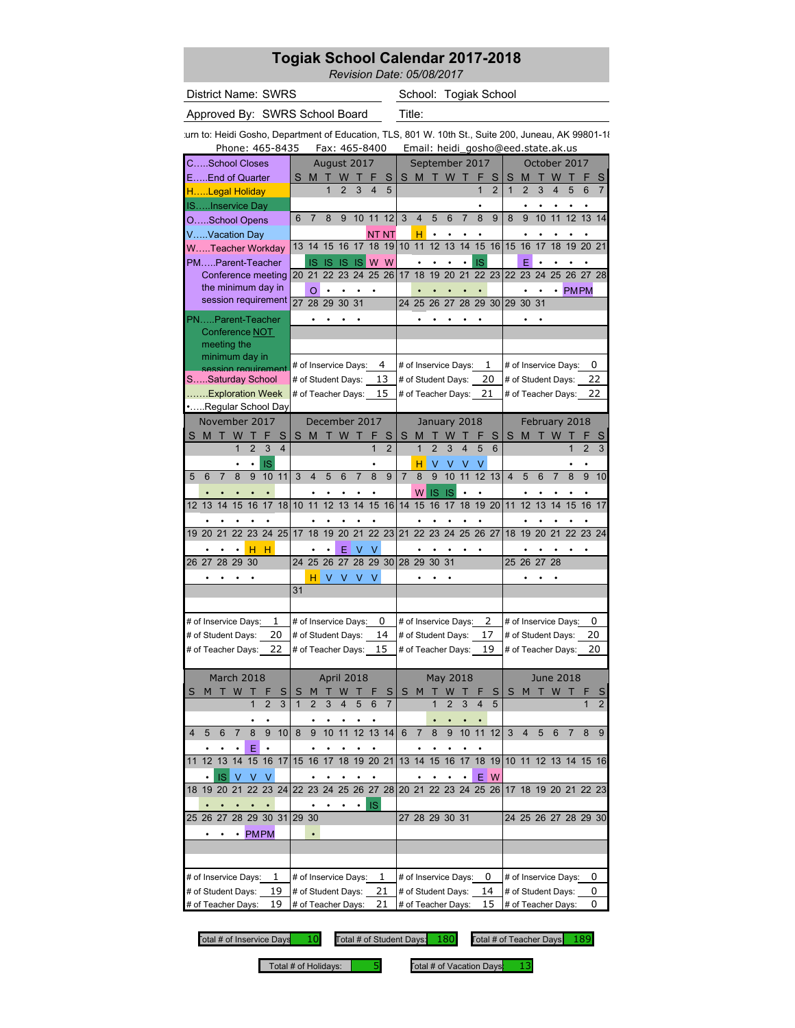# **Togiak School Calendar 2017-2018**

*Revision Date: 05/08/2017*

District Name: SWRS
School:

School: Togiak School

Approved By: SWRS School Board Title:

Phone:  $465-8435$  Fax:  $465-8400$  Email: heidi\_gosho@eed.state lurn to: Heidi Gosho, Department of Education, TLS, 801 W. 10th St., Suite 200, Juneau, AK 99801-18

| <b>CSchool Closes</b><br>August 2017<br>September 2017<br>October 2017<br>EEnd of Quarter<br>S<br>W<br>W<br>S<br>M<br>т<br>S<br>S<br>M<br>w<br>S<br>M<br>4<br>1<br>$\overline{2}$<br>$\overline{1}$<br>$\overline{2}$<br>3<br>3<br>5<br>4<br>5<br>6<br>HLegal Holiday<br>ISInservice Day<br>8<br>3<br>5<br>6<br>9<br>6<br>$\overline{7}$<br>9<br>10<br>11<br>12<br>4<br>$\overline{7}$<br>8<br>8<br>9<br>11<br>12<br>13<br>10<br>14<br>OSchool Opens<br>VVacation Day<br>н<br>NT NT<br>17<br>18<br>19<br>10<br>11<br>12<br>13<br>14<br>15<br>16<br>15<br>16<br>18<br>20 21<br>14<br>15<br>16<br>17<br>19<br>13<br>WTeacher Workday<br><b>IS</b><br>PMParent-Teacher<br>W W<br>E<br>IS<br><b>IS IS</b><br>1S<br>$\bullet$<br>22<br>26 27 28<br>21<br>22<br>23<br>24<br>25<br>26<br>18<br>19<br>20<br>21<br>22 23<br>23<br>24<br>25<br>20<br>17<br>Conference meeting<br>the minimum day in<br><b>PMPM</b><br>O<br>$\bullet$<br>$\bullet$<br>session requirement<br>27 28 29 30 31<br>26 27 28 29 30<br>24 25<br>29 30 31<br>PNParent-Teacher<br>Conference NOT<br>meeting the<br>minimum day in<br>4<br>0<br># of Inservice Days:<br># of Inservice Days:<br>1<br># of Inservice Days:<br>session requirement<br>13<br>20<br>22<br>SSaturday School<br># of Student Days:<br># of Student Days:<br># of Student Days:<br>Exploration Week<br>15<br>22<br># of Teacher Days:<br># of Teacher Days:<br>21<br># of Teacher Days:<br>Regular School Day<br>November 2017<br>December 2017<br>February 2018<br>January 2018<br>M<br>W<br>S<br>M<br>W<br>Т<br>Т<br>F<br>S<br>т<br>S<br>S<br>S<br>S<br>W<br>S<br>M<br>W<br>М<br>т<br>3<br>$\overline{2}$<br>$\overline{2}$<br>1<br>$\overline{2}$<br>$\mathbf{1}$<br>3<br>4<br>5<br>$\overline{2}$<br>$\mathbf{1}$<br>$\overline{\mathbf{4}}$<br>6<br>$\mathbf{1}$<br>3<br>IS<br>н<br>٧<br>V<br>v<br>$\bullet$<br>$\bullet$<br>8<br>9<br>8<br>9<br>$\overline{7}$<br>8<br>9<br>10<br>11<br>12<br>$\overline{7}$<br>7<br>10<br>11<br>3<br>4<br>5<br>6<br>$\overline{7}$<br>13<br>$\overline{4}$<br>5<br>8<br>9<br>10<br>5<br>6<br>6<br>W<br>IS<br>IS<br>18<br>12<br>13<br>15<br>18<br>19 20<br>13<br>13<br>14<br>15<br>16<br>17<br>10<br>11<br>14<br>16<br>14<br>15<br>17<br>11<br>12<br>14<br>15<br>16<br>12<br>16<br>17<br>23<br>25<br>22 23<br>22<br>24<br>17<br>18<br>19<br>20<br>21<br>21<br>22<br>23<br>24<br>25<br>26 27<br>18<br>19<br>20<br>21<br>22<br>23 24<br>19<br>20<br>21<br>н<br>н<br>V<br>Е<br>25<br>26<br>27<br>28<br>29 30<br>26 27<br>28<br>29<br>30<br>28 29<br>30<br>31<br>25<br>26 27<br>28<br>24<br>н<br>V<br>V<br>V<br>V<br>31<br>2<br>1<br>0<br>0<br># of Inservice Days:<br># of Inservice Days:<br># of Inservice Days:<br># of Inservice Days:<br>20<br>14<br>17<br>20<br># of Student Days:<br># of Student Days:<br># of Student Days:<br># of Student Days:<br>15<br># of Teacher Days:<br>22<br># of Teacher Days:<br># of Teacher Days:<br>19<br># of Teacher Days:<br>20<br><b>June 2018</b><br>March 2018<br>April 2018<br><b>May 2018</b><br>S<br>S<br>S<br>M<br>S<br>M<br>S<br>М<br>5<br>3<br>1<br>3<br>$\overline{1}$<br>$\overline{2}$<br>5<br>$\overline{2}$<br>3<br>1<br>4<br>6<br>7<br>8<br>9<br>10<br>8<br>9<br>10 11<br>12 13 14<br>6<br>8<br>9<br>10<br>$11$<br>12<br>3<br>8<br>9<br>5<br>6<br>5<br>Е<br>15<br>16 17<br>18<br>19<br>20 21<br>15<br>17<br>18 19 10 11 12 13 14 15 16<br>12 13<br>14<br>15 <sup>15</sup><br>16<br>17<br>13 14<br>16<br>11<br>V<br>IS<br>Е<br>W<br>22 23 24 25 26 17 18 19 20 21 22 23<br>20<br>21<br>22 23 24<br>22 23<br>24 25 26 27 28<br>18 19<br>20 21<br>IS<br>٠<br>25 26 27 28 29 30 31<br>27 28 29 30 31<br>24 25 26 27 28 29 30<br>29 30<br><b>PMPM</b><br>$\bullet$<br>$\bullet$<br>$\mathbf{1}$<br>1<br>0<br>0<br># of Inservice Days:<br># of Inservice Days:<br># of Inservice Days:<br># of Inservice Days:<br># of Student Days:<br>19<br># of Student Days:<br>21<br># of Student Days:<br>14<br># of Student Days:<br>0<br># of Teacher Days:<br>19<br># of Teacher Days:<br>21<br># of Teacher Days:<br>15<br># of Teacher Days:<br>0 | PNONE: 465-8435 |  |  | Fax: 465-8400 |  |  |  |  |  |  | Emaii: neidi_gosno@eed.state.ak.us |  |  |
|---------------------------------------------------------------------------------------------------------------------------------------------------------------------------------------------------------------------------------------------------------------------------------------------------------------------------------------------------------------------------------------------------------------------------------------------------------------------------------------------------------------------------------------------------------------------------------------------------------------------------------------------------------------------------------------------------------------------------------------------------------------------------------------------------------------------------------------------------------------------------------------------------------------------------------------------------------------------------------------------------------------------------------------------------------------------------------------------------------------------------------------------------------------------------------------------------------------------------------------------------------------------------------------------------------------------------------------------------------------------------------------------------------------------------------------------------------------------------------------------------------------------------------------------------------------------------------------------------------------------------------------------------------------------------------------------------------------------------------------------------------------------------------------------------------------------------------------------------------------------------------------------------------------------------------------------------------------------------------------------------------------------------------------------------------------------------------------------------------------------------------------------------------------------------------------------------------------------------------------------------------------------------------------------------------------------------------------------------------------------------------------------------------------------------------------------------------------------------------------------------------------------------------------------------------------------------------------------------------------------------------------------------------------------------------------------------------------------------------------------------------------------------------------------------------------------------------------------------------------------------------------------------------------------------------------------------------------------------------------------------------------------------------------------------------------------------------------------------------------------------------------------------------------------------------------------------------------------------------------------------------------------------------------------------------------------------------------------------------------------------------------------------------------------------------------------------------------------------------------------------------------------------------------------------------------------------------------------------------------------------------------------------------------------------------------------------------------------------------------------------------------------------------------------------------------------------------------------------------------------------------------------------------------------------------------------------------------------------------------------------------------------------------------------------------------------------|-----------------|--|--|---------------|--|--|--|--|--|--|------------------------------------|--|--|
|                                                                                                                                                                                                                                                                                                                                                                                                                                                                                                                                                                                                                                                                                                                                                                                                                                                                                                                                                                                                                                                                                                                                                                                                                                                                                                                                                                                                                                                                                                                                                                                                                                                                                                                                                                                                                                                                                                                                                                                                                                                                                                                                                                                                                                                                                                                                                                                                                                                                                                                                                                                                                                                                                                                                                                                                                                                                                                                                                                                                                                                                                                                                                                                                                                                                                                                                                                                                                                                                                                                                                                                                                                                                                                                                                                                                                                                                                                                                                                                                                                                                           |                 |  |  |               |  |  |  |  |  |  |                                    |  |  |
|                                                                                                                                                                                                                                                                                                                                                                                                                                                                                                                                                                                                                                                                                                                                                                                                                                                                                                                                                                                                                                                                                                                                                                                                                                                                                                                                                                                                                                                                                                                                                                                                                                                                                                                                                                                                                                                                                                                                                                                                                                                                                                                                                                                                                                                                                                                                                                                                                                                                                                                                                                                                                                                                                                                                                                                                                                                                                                                                                                                                                                                                                                                                                                                                                                                                                                                                                                                                                                                                                                                                                                                                                                                                                                                                                                                                                                                                                                                                                                                                                                                                           |                 |  |  |               |  |  |  |  |  |  |                                    |  |  |
|                                                                                                                                                                                                                                                                                                                                                                                                                                                                                                                                                                                                                                                                                                                                                                                                                                                                                                                                                                                                                                                                                                                                                                                                                                                                                                                                                                                                                                                                                                                                                                                                                                                                                                                                                                                                                                                                                                                                                                                                                                                                                                                                                                                                                                                                                                                                                                                                                                                                                                                                                                                                                                                                                                                                                                                                                                                                                                                                                                                                                                                                                                                                                                                                                                                                                                                                                                                                                                                                                                                                                                                                                                                                                                                                                                                                                                                                                                                                                                                                                                                                           |                 |  |  |               |  |  |  |  |  |  |                                    |  |  |
|                                                                                                                                                                                                                                                                                                                                                                                                                                                                                                                                                                                                                                                                                                                                                                                                                                                                                                                                                                                                                                                                                                                                                                                                                                                                                                                                                                                                                                                                                                                                                                                                                                                                                                                                                                                                                                                                                                                                                                                                                                                                                                                                                                                                                                                                                                                                                                                                                                                                                                                                                                                                                                                                                                                                                                                                                                                                                                                                                                                                                                                                                                                                                                                                                                                                                                                                                                                                                                                                                                                                                                                                                                                                                                                                                                                                                                                                                                                                                                                                                                                                           |                 |  |  |               |  |  |  |  |  |  |                                    |  |  |
|                                                                                                                                                                                                                                                                                                                                                                                                                                                                                                                                                                                                                                                                                                                                                                                                                                                                                                                                                                                                                                                                                                                                                                                                                                                                                                                                                                                                                                                                                                                                                                                                                                                                                                                                                                                                                                                                                                                                                                                                                                                                                                                                                                                                                                                                                                                                                                                                                                                                                                                                                                                                                                                                                                                                                                                                                                                                                                                                                                                                                                                                                                                                                                                                                                                                                                                                                                                                                                                                                                                                                                                                                                                                                                                                                                                                                                                                                                                                                                                                                                                                           |                 |  |  |               |  |  |  |  |  |  |                                    |  |  |
|                                                                                                                                                                                                                                                                                                                                                                                                                                                                                                                                                                                                                                                                                                                                                                                                                                                                                                                                                                                                                                                                                                                                                                                                                                                                                                                                                                                                                                                                                                                                                                                                                                                                                                                                                                                                                                                                                                                                                                                                                                                                                                                                                                                                                                                                                                                                                                                                                                                                                                                                                                                                                                                                                                                                                                                                                                                                                                                                                                                                                                                                                                                                                                                                                                                                                                                                                                                                                                                                                                                                                                                                                                                                                                                                                                                                                                                                                                                                                                                                                                                                           |                 |  |  |               |  |  |  |  |  |  |                                    |  |  |
|                                                                                                                                                                                                                                                                                                                                                                                                                                                                                                                                                                                                                                                                                                                                                                                                                                                                                                                                                                                                                                                                                                                                                                                                                                                                                                                                                                                                                                                                                                                                                                                                                                                                                                                                                                                                                                                                                                                                                                                                                                                                                                                                                                                                                                                                                                                                                                                                                                                                                                                                                                                                                                                                                                                                                                                                                                                                                                                                                                                                                                                                                                                                                                                                                                                                                                                                                                                                                                                                                                                                                                                                                                                                                                                                                                                                                                                                                                                                                                                                                                                                           |                 |  |  |               |  |  |  |  |  |  |                                    |  |  |
|                                                                                                                                                                                                                                                                                                                                                                                                                                                                                                                                                                                                                                                                                                                                                                                                                                                                                                                                                                                                                                                                                                                                                                                                                                                                                                                                                                                                                                                                                                                                                                                                                                                                                                                                                                                                                                                                                                                                                                                                                                                                                                                                                                                                                                                                                                                                                                                                                                                                                                                                                                                                                                                                                                                                                                                                                                                                                                                                                                                                                                                                                                                                                                                                                                                                                                                                                                                                                                                                                                                                                                                                                                                                                                                                                                                                                                                                                                                                                                                                                                                                           |                 |  |  |               |  |  |  |  |  |  |                                    |  |  |
|                                                                                                                                                                                                                                                                                                                                                                                                                                                                                                                                                                                                                                                                                                                                                                                                                                                                                                                                                                                                                                                                                                                                                                                                                                                                                                                                                                                                                                                                                                                                                                                                                                                                                                                                                                                                                                                                                                                                                                                                                                                                                                                                                                                                                                                                                                                                                                                                                                                                                                                                                                                                                                                                                                                                                                                                                                                                                                                                                                                                                                                                                                                                                                                                                                                                                                                                                                                                                                                                                                                                                                                                                                                                                                                                                                                                                                                                                                                                                                                                                                                                           |                 |  |  |               |  |  |  |  |  |  |                                    |  |  |
|                                                                                                                                                                                                                                                                                                                                                                                                                                                                                                                                                                                                                                                                                                                                                                                                                                                                                                                                                                                                                                                                                                                                                                                                                                                                                                                                                                                                                                                                                                                                                                                                                                                                                                                                                                                                                                                                                                                                                                                                                                                                                                                                                                                                                                                                                                                                                                                                                                                                                                                                                                                                                                                                                                                                                                                                                                                                                                                                                                                                                                                                                                                                                                                                                                                                                                                                                                                                                                                                                                                                                                                                                                                                                                                                                                                                                                                                                                                                                                                                                                                                           |                 |  |  |               |  |  |  |  |  |  |                                    |  |  |
|                                                                                                                                                                                                                                                                                                                                                                                                                                                                                                                                                                                                                                                                                                                                                                                                                                                                                                                                                                                                                                                                                                                                                                                                                                                                                                                                                                                                                                                                                                                                                                                                                                                                                                                                                                                                                                                                                                                                                                                                                                                                                                                                                                                                                                                                                                                                                                                                                                                                                                                                                                                                                                                                                                                                                                                                                                                                                                                                                                                                                                                                                                                                                                                                                                                                                                                                                                                                                                                                                                                                                                                                                                                                                                                                                                                                                                                                                                                                                                                                                                                                           |                 |  |  |               |  |  |  |  |  |  |                                    |  |  |
|                                                                                                                                                                                                                                                                                                                                                                                                                                                                                                                                                                                                                                                                                                                                                                                                                                                                                                                                                                                                                                                                                                                                                                                                                                                                                                                                                                                                                                                                                                                                                                                                                                                                                                                                                                                                                                                                                                                                                                                                                                                                                                                                                                                                                                                                                                                                                                                                                                                                                                                                                                                                                                                                                                                                                                                                                                                                                                                                                                                                                                                                                                                                                                                                                                                                                                                                                                                                                                                                                                                                                                                                                                                                                                                                                                                                                                                                                                                                                                                                                                                                           |                 |  |  |               |  |  |  |  |  |  |                                    |  |  |
|                                                                                                                                                                                                                                                                                                                                                                                                                                                                                                                                                                                                                                                                                                                                                                                                                                                                                                                                                                                                                                                                                                                                                                                                                                                                                                                                                                                                                                                                                                                                                                                                                                                                                                                                                                                                                                                                                                                                                                                                                                                                                                                                                                                                                                                                                                                                                                                                                                                                                                                                                                                                                                                                                                                                                                                                                                                                                                                                                                                                                                                                                                                                                                                                                                                                                                                                                                                                                                                                                                                                                                                                                                                                                                                                                                                                                                                                                                                                                                                                                                                                           |                 |  |  |               |  |  |  |  |  |  |                                    |  |  |
|                                                                                                                                                                                                                                                                                                                                                                                                                                                                                                                                                                                                                                                                                                                                                                                                                                                                                                                                                                                                                                                                                                                                                                                                                                                                                                                                                                                                                                                                                                                                                                                                                                                                                                                                                                                                                                                                                                                                                                                                                                                                                                                                                                                                                                                                                                                                                                                                                                                                                                                                                                                                                                                                                                                                                                                                                                                                                                                                                                                                                                                                                                                                                                                                                                                                                                                                                                                                                                                                                                                                                                                                                                                                                                                                                                                                                                                                                                                                                                                                                                                                           |                 |  |  |               |  |  |  |  |  |  |                                    |  |  |
|                                                                                                                                                                                                                                                                                                                                                                                                                                                                                                                                                                                                                                                                                                                                                                                                                                                                                                                                                                                                                                                                                                                                                                                                                                                                                                                                                                                                                                                                                                                                                                                                                                                                                                                                                                                                                                                                                                                                                                                                                                                                                                                                                                                                                                                                                                                                                                                                                                                                                                                                                                                                                                                                                                                                                                                                                                                                                                                                                                                                                                                                                                                                                                                                                                                                                                                                                                                                                                                                                                                                                                                                                                                                                                                                                                                                                                                                                                                                                                                                                                                                           |                 |  |  |               |  |  |  |  |  |  |                                    |  |  |
|                                                                                                                                                                                                                                                                                                                                                                                                                                                                                                                                                                                                                                                                                                                                                                                                                                                                                                                                                                                                                                                                                                                                                                                                                                                                                                                                                                                                                                                                                                                                                                                                                                                                                                                                                                                                                                                                                                                                                                                                                                                                                                                                                                                                                                                                                                                                                                                                                                                                                                                                                                                                                                                                                                                                                                                                                                                                                                                                                                                                                                                                                                                                                                                                                                                                                                                                                                                                                                                                                                                                                                                                                                                                                                                                                                                                                                                                                                                                                                                                                                                                           |                 |  |  |               |  |  |  |  |  |  |                                    |  |  |
|                                                                                                                                                                                                                                                                                                                                                                                                                                                                                                                                                                                                                                                                                                                                                                                                                                                                                                                                                                                                                                                                                                                                                                                                                                                                                                                                                                                                                                                                                                                                                                                                                                                                                                                                                                                                                                                                                                                                                                                                                                                                                                                                                                                                                                                                                                                                                                                                                                                                                                                                                                                                                                                                                                                                                                                                                                                                                                                                                                                                                                                                                                                                                                                                                                                                                                                                                                                                                                                                                                                                                                                                                                                                                                                                                                                                                                                                                                                                                                                                                                                                           |                 |  |  |               |  |  |  |  |  |  |                                    |  |  |
|                                                                                                                                                                                                                                                                                                                                                                                                                                                                                                                                                                                                                                                                                                                                                                                                                                                                                                                                                                                                                                                                                                                                                                                                                                                                                                                                                                                                                                                                                                                                                                                                                                                                                                                                                                                                                                                                                                                                                                                                                                                                                                                                                                                                                                                                                                                                                                                                                                                                                                                                                                                                                                                                                                                                                                                                                                                                                                                                                                                                                                                                                                                                                                                                                                                                                                                                                                                                                                                                                                                                                                                                                                                                                                                                                                                                                                                                                                                                                                                                                                                                           |                 |  |  |               |  |  |  |  |  |  |                                    |  |  |
|                                                                                                                                                                                                                                                                                                                                                                                                                                                                                                                                                                                                                                                                                                                                                                                                                                                                                                                                                                                                                                                                                                                                                                                                                                                                                                                                                                                                                                                                                                                                                                                                                                                                                                                                                                                                                                                                                                                                                                                                                                                                                                                                                                                                                                                                                                                                                                                                                                                                                                                                                                                                                                                                                                                                                                                                                                                                                                                                                                                                                                                                                                                                                                                                                                                                                                                                                                                                                                                                                                                                                                                                                                                                                                                                                                                                                                                                                                                                                                                                                                                                           |                 |  |  |               |  |  |  |  |  |  |                                    |  |  |
|                                                                                                                                                                                                                                                                                                                                                                                                                                                                                                                                                                                                                                                                                                                                                                                                                                                                                                                                                                                                                                                                                                                                                                                                                                                                                                                                                                                                                                                                                                                                                                                                                                                                                                                                                                                                                                                                                                                                                                                                                                                                                                                                                                                                                                                                                                                                                                                                                                                                                                                                                                                                                                                                                                                                                                                                                                                                                                                                                                                                                                                                                                                                                                                                                                                                                                                                                                                                                                                                                                                                                                                                                                                                                                                                                                                                                                                                                                                                                                                                                                                                           |                 |  |  |               |  |  |  |  |  |  |                                    |  |  |
|                                                                                                                                                                                                                                                                                                                                                                                                                                                                                                                                                                                                                                                                                                                                                                                                                                                                                                                                                                                                                                                                                                                                                                                                                                                                                                                                                                                                                                                                                                                                                                                                                                                                                                                                                                                                                                                                                                                                                                                                                                                                                                                                                                                                                                                                                                                                                                                                                                                                                                                                                                                                                                                                                                                                                                                                                                                                                                                                                                                                                                                                                                                                                                                                                                                                                                                                                                                                                                                                                                                                                                                                                                                                                                                                                                                                                                                                                                                                                                                                                                                                           |                 |  |  |               |  |  |  |  |  |  |                                    |  |  |
|                                                                                                                                                                                                                                                                                                                                                                                                                                                                                                                                                                                                                                                                                                                                                                                                                                                                                                                                                                                                                                                                                                                                                                                                                                                                                                                                                                                                                                                                                                                                                                                                                                                                                                                                                                                                                                                                                                                                                                                                                                                                                                                                                                                                                                                                                                                                                                                                                                                                                                                                                                                                                                                                                                                                                                                                                                                                                                                                                                                                                                                                                                                                                                                                                                                                                                                                                                                                                                                                                                                                                                                                                                                                                                                                                                                                                                                                                                                                                                                                                                                                           |                 |  |  |               |  |  |  |  |  |  |                                    |  |  |
|                                                                                                                                                                                                                                                                                                                                                                                                                                                                                                                                                                                                                                                                                                                                                                                                                                                                                                                                                                                                                                                                                                                                                                                                                                                                                                                                                                                                                                                                                                                                                                                                                                                                                                                                                                                                                                                                                                                                                                                                                                                                                                                                                                                                                                                                                                                                                                                                                                                                                                                                                                                                                                                                                                                                                                                                                                                                                                                                                                                                                                                                                                                                                                                                                                                                                                                                                                                                                                                                                                                                                                                                                                                                                                                                                                                                                                                                                                                                                                                                                                                                           |                 |  |  |               |  |  |  |  |  |  |                                    |  |  |
|                                                                                                                                                                                                                                                                                                                                                                                                                                                                                                                                                                                                                                                                                                                                                                                                                                                                                                                                                                                                                                                                                                                                                                                                                                                                                                                                                                                                                                                                                                                                                                                                                                                                                                                                                                                                                                                                                                                                                                                                                                                                                                                                                                                                                                                                                                                                                                                                                                                                                                                                                                                                                                                                                                                                                                                                                                                                                                                                                                                                                                                                                                                                                                                                                                                                                                                                                                                                                                                                                                                                                                                                                                                                                                                                                                                                                                                                                                                                                                                                                                                                           |                 |  |  |               |  |  |  |  |  |  |                                    |  |  |
|                                                                                                                                                                                                                                                                                                                                                                                                                                                                                                                                                                                                                                                                                                                                                                                                                                                                                                                                                                                                                                                                                                                                                                                                                                                                                                                                                                                                                                                                                                                                                                                                                                                                                                                                                                                                                                                                                                                                                                                                                                                                                                                                                                                                                                                                                                                                                                                                                                                                                                                                                                                                                                                                                                                                                                                                                                                                                                                                                                                                                                                                                                                                                                                                                                                                                                                                                                                                                                                                                                                                                                                                                                                                                                                                                                                                                                                                                                                                                                                                                                                                           |                 |  |  |               |  |  |  |  |  |  |                                    |  |  |
|                                                                                                                                                                                                                                                                                                                                                                                                                                                                                                                                                                                                                                                                                                                                                                                                                                                                                                                                                                                                                                                                                                                                                                                                                                                                                                                                                                                                                                                                                                                                                                                                                                                                                                                                                                                                                                                                                                                                                                                                                                                                                                                                                                                                                                                                                                                                                                                                                                                                                                                                                                                                                                                                                                                                                                                                                                                                                                                                                                                                                                                                                                                                                                                                                                                                                                                                                                                                                                                                                                                                                                                                                                                                                                                                                                                                                                                                                                                                                                                                                                                                           |                 |  |  |               |  |  |  |  |  |  |                                    |  |  |
|                                                                                                                                                                                                                                                                                                                                                                                                                                                                                                                                                                                                                                                                                                                                                                                                                                                                                                                                                                                                                                                                                                                                                                                                                                                                                                                                                                                                                                                                                                                                                                                                                                                                                                                                                                                                                                                                                                                                                                                                                                                                                                                                                                                                                                                                                                                                                                                                                                                                                                                                                                                                                                                                                                                                                                                                                                                                                                                                                                                                                                                                                                                                                                                                                                                                                                                                                                                                                                                                                                                                                                                                                                                                                                                                                                                                                                                                                                                                                                                                                                                                           |                 |  |  |               |  |  |  |  |  |  |                                    |  |  |
|                                                                                                                                                                                                                                                                                                                                                                                                                                                                                                                                                                                                                                                                                                                                                                                                                                                                                                                                                                                                                                                                                                                                                                                                                                                                                                                                                                                                                                                                                                                                                                                                                                                                                                                                                                                                                                                                                                                                                                                                                                                                                                                                                                                                                                                                                                                                                                                                                                                                                                                                                                                                                                                                                                                                                                                                                                                                                                                                                                                                                                                                                                                                                                                                                                                                                                                                                                                                                                                                                                                                                                                                                                                                                                                                                                                                                                                                                                                                                                                                                                                                           |                 |  |  |               |  |  |  |  |  |  |                                    |  |  |
|                                                                                                                                                                                                                                                                                                                                                                                                                                                                                                                                                                                                                                                                                                                                                                                                                                                                                                                                                                                                                                                                                                                                                                                                                                                                                                                                                                                                                                                                                                                                                                                                                                                                                                                                                                                                                                                                                                                                                                                                                                                                                                                                                                                                                                                                                                                                                                                                                                                                                                                                                                                                                                                                                                                                                                                                                                                                                                                                                                                                                                                                                                                                                                                                                                                                                                                                                                                                                                                                                                                                                                                                                                                                                                                                                                                                                                                                                                                                                                                                                                                                           |                 |  |  |               |  |  |  |  |  |  |                                    |  |  |
|                                                                                                                                                                                                                                                                                                                                                                                                                                                                                                                                                                                                                                                                                                                                                                                                                                                                                                                                                                                                                                                                                                                                                                                                                                                                                                                                                                                                                                                                                                                                                                                                                                                                                                                                                                                                                                                                                                                                                                                                                                                                                                                                                                                                                                                                                                                                                                                                                                                                                                                                                                                                                                                                                                                                                                                                                                                                                                                                                                                                                                                                                                                                                                                                                                                                                                                                                                                                                                                                                                                                                                                                                                                                                                                                                                                                                                                                                                                                                                                                                                                                           |                 |  |  |               |  |  |  |  |  |  |                                    |  |  |
|                                                                                                                                                                                                                                                                                                                                                                                                                                                                                                                                                                                                                                                                                                                                                                                                                                                                                                                                                                                                                                                                                                                                                                                                                                                                                                                                                                                                                                                                                                                                                                                                                                                                                                                                                                                                                                                                                                                                                                                                                                                                                                                                                                                                                                                                                                                                                                                                                                                                                                                                                                                                                                                                                                                                                                                                                                                                                                                                                                                                                                                                                                                                                                                                                                                                                                                                                                                                                                                                                                                                                                                                                                                                                                                                                                                                                                                                                                                                                                                                                                                                           |                 |  |  |               |  |  |  |  |  |  |                                    |  |  |
|                                                                                                                                                                                                                                                                                                                                                                                                                                                                                                                                                                                                                                                                                                                                                                                                                                                                                                                                                                                                                                                                                                                                                                                                                                                                                                                                                                                                                                                                                                                                                                                                                                                                                                                                                                                                                                                                                                                                                                                                                                                                                                                                                                                                                                                                                                                                                                                                                                                                                                                                                                                                                                                                                                                                                                                                                                                                                                                                                                                                                                                                                                                                                                                                                                                                                                                                                                                                                                                                                                                                                                                                                                                                                                                                                                                                                                                                                                                                                                                                                                                                           |                 |  |  |               |  |  |  |  |  |  |                                    |  |  |
|                                                                                                                                                                                                                                                                                                                                                                                                                                                                                                                                                                                                                                                                                                                                                                                                                                                                                                                                                                                                                                                                                                                                                                                                                                                                                                                                                                                                                                                                                                                                                                                                                                                                                                                                                                                                                                                                                                                                                                                                                                                                                                                                                                                                                                                                                                                                                                                                                                                                                                                                                                                                                                                                                                                                                                                                                                                                                                                                                                                                                                                                                                                                                                                                                                                                                                                                                                                                                                                                                                                                                                                                                                                                                                                                                                                                                                                                                                                                                                                                                                                                           |                 |  |  |               |  |  |  |  |  |  |                                    |  |  |
|                                                                                                                                                                                                                                                                                                                                                                                                                                                                                                                                                                                                                                                                                                                                                                                                                                                                                                                                                                                                                                                                                                                                                                                                                                                                                                                                                                                                                                                                                                                                                                                                                                                                                                                                                                                                                                                                                                                                                                                                                                                                                                                                                                                                                                                                                                                                                                                                                                                                                                                                                                                                                                                                                                                                                                                                                                                                                                                                                                                                                                                                                                                                                                                                                                                                                                                                                                                                                                                                                                                                                                                                                                                                                                                                                                                                                                                                                                                                                                                                                                                                           |                 |  |  |               |  |  |  |  |  |  |                                    |  |  |
|                                                                                                                                                                                                                                                                                                                                                                                                                                                                                                                                                                                                                                                                                                                                                                                                                                                                                                                                                                                                                                                                                                                                                                                                                                                                                                                                                                                                                                                                                                                                                                                                                                                                                                                                                                                                                                                                                                                                                                                                                                                                                                                                                                                                                                                                                                                                                                                                                                                                                                                                                                                                                                                                                                                                                                                                                                                                                                                                                                                                                                                                                                                                                                                                                                                                                                                                                                                                                                                                                                                                                                                                                                                                                                                                                                                                                                                                                                                                                                                                                                                                           |                 |  |  |               |  |  |  |  |  |  |                                    |  |  |
|                                                                                                                                                                                                                                                                                                                                                                                                                                                                                                                                                                                                                                                                                                                                                                                                                                                                                                                                                                                                                                                                                                                                                                                                                                                                                                                                                                                                                                                                                                                                                                                                                                                                                                                                                                                                                                                                                                                                                                                                                                                                                                                                                                                                                                                                                                                                                                                                                                                                                                                                                                                                                                                                                                                                                                                                                                                                                                                                                                                                                                                                                                                                                                                                                                                                                                                                                                                                                                                                                                                                                                                                                                                                                                                                                                                                                                                                                                                                                                                                                                                                           |                 |  |  |               |  |  |  |  |  |  |                                    |  |  |
|                                                                                                                                                                                                                                                                                                                                                                                                                                                                                                                                                                                                                                                                                                                                                                                                                                                                                                                                                                                                                                                                                                                                                                                                                                                                                                                                                                                                                                                                                                                                                                                                                                                                                                                                                                                                                                                                                                                                                                                                                                                                                                                                                                                                                                                                                                                                                                                                                                                                                                                                                                                                                                                                                                                                                                                                                                                                                                                                                                                                                                                                                                                                                                                                                                                                                                                                                                                                                                                                                                                                                                                                                                                                                                                                                                                                                                                                                                                                                                                                                                                                           |                 |  |  |               |  |  |  |  |  |  |                                    |  |  |
|                                                                                                                                                                                                                                                                                                                                                                                                                                                                                                                                                                                                                                                                                                                                                                                                                                                                                                                                                                                                                                                                                                                                                                                                                                                                                                                                                                                                                                                                                                                                                                                                                                                                                                                                                                                                                                                                                                                                                                                                                                                                                                                                                                                                                                                                                                                                                                                                                                                                                                                                                                                                                                                                                                                                                                                                                                                                                                                                                                                                                                                                                                                                                                                                                                                                                                                                                                                                                                                                                                                                                                                                                                                                                                                                                                                                                                                                                                                                                                                                                                                                           |                 |  |  |               |  |  |  |  |  |  |                                    |  |  |
|                                                                                                                                                                                                                                                                                                                                                                                                                                                                                                                                                                                                                                                                                                                                                                                                                                                                                                                                                                                                                                                                                                                                                                                                                                                                                                                                                                                                                                                                                                                                                                                                                                                                                                                                                                                                                                                                                                                                                                                                                                                                                                                                                                                                                                                                                                                                                                                                                                                                                                                                                                                                                                                                                                                                                                                                                                                                                                                                                                                                                                                                                                                                                                                                                                                                                                                                                                                                                                                                                                                                                                                                                                                                                                                                                                                                                                                                                                                                                                                                                                                                           |                 |  |  |               |  |  |  |  |  |  |                                    |  |  |
|                                                                                                                                                                                                                                                                                                                                                                                                                                                                                                                                                                                                                                                                                                                                                                                                                                                                                                                                                                                                                                                                                                                                                                                                                                                                                                                                                                                                                                                                                                                                                                                                                                                                                                                                                                                                                                                                                                                                                                                                                                                                                                                                                                                                                                                                                                                                                                                                                                                                                                                                                                                                                                                                                                                                                                                                                                                                                                                                                                                                                                                                                                                                                                                                                                                                                                                                                                                                                                                                                                                                                                                                                                                                                                                                                                                                                                                                                                                                                                                                                                                                           |                 |  |  |               |  |  |  |  |  |  |                                    |  |  |
|                                                                                                                                                                                                                                                                                                                                                                                                                                                                                                                                                                                                                                                                                                                                                                                                                                                                                                                                                                                                                                                                                                                                                                                                                                                                                                                                                                                                                                                                                                                                                                                                                                                                                                                                                                                                                                                                                                                                                                                                                                                                                                                                                                                                                                                                                                                                                                                                                                                                                                                                                                                                                                                                                                                                                                                                                                                                                                                                                                                                                                                                                                                                                                                                                                                                                                                                                                                                                                                                                                                                                                                                                                                                                                                                                                                                                                                                                                                                                                                                                                                                           |                 |  |  |               |  |  |  |  |  |  |                                    |  |  |
|                                                                                                                                                                                                                                                                                                                                                                                                                                                                                                                                                                                                                                                                                                                                                                                                                                                                                                                                                                                                                                                                                                                                                                                                                                                                                                                                                                                                                                                                                                                                                                                                                                                                                                                                                                                                                                                                                                                                                                                                                                                                                                                                                                                                                                                                                                                                                                                                                                                                                                                                                                                                                                                                                                                                                                                                                                                                                                                                                                                                                                                                                                                                                                                                                                                                                                                                                                                                                                                                                                                                                                                                                                                                                                                                                                                                                                                                                                                                                                                                                                                                           |                 |  |  |               |  |  |  |  |  |  |                                    |  |  |
|                                                                                                                                                                                                                                                                                                                                                                                                                                                                                                                                                                                                                                                                                                                                                                                                                                                                                                                                                                                                                                                                                                                                                                                                                                                                                                                                                                                                                                                                                                                                                                                                                                                                                                                                                                                                                                                                                                                                                                                                                                                                                                                                                                                                                                                                                                                                                                                                                                                                                                                                                                                                                                                                                                                                                                                                                                                                                                                                                                                                                                                                                                                                                                                                                                                                                                                                                                                                                                                                                                                                                                                                                                                                                                                                                                                                                                                                                                                                                                                                                                                                           |                 |  |  |               |  |  |  |  |  |  |                                    |  |  |
|                                                                                                                                                                                                                                                                                                                                                                                                                                                                                                                                                                                                                                                                                                                                                                                                                                                                                                                                                                                                                                                                                                                                                                                                                                                                                                                                                                                                                                                                                                                                                                                                                                                                                                                                                                                                                                                                                                                                                                                                                                                                                                                                                                                                                                                                                                                                                                                                                                                                                                                                                                                                                                                                                                                                                                                                                                                                                                                                                                                                                                                                                                                                                                                                                                                                                                                                                                                                                                                                                                                                                                                                                                                                                                                                                                                                                                                                                                                                                                                                                                                                           |                 |  |  |               |  |  |  |  |  |  |                                    |  |  |
|                                                                                                                                                                                                                                                                                                                                                                                                                                                                                                                                                                                                                                                                                                                                                                                                                                                                                                                                                                                                                                                                                                                                                                                                                                                                                                                                                                                                                                                                                                                                                                                                                                                                                                                                                                                                                                                                                                                                                                                                                                                                                                                                                                                                                                                                                                                                                                                                                                                                                                                                                                                                                                                                                                                                                                                                                                                                                                                                                                                                                                                                                                                                                                                                                                                                                                                                                                                                                                                                                                                                                                                                                                                                                                                                                                                                                                                                                                                                                                                                                                                                           |                 |  |  |               |  |  |  |  |  |  |                                    |  |  |
|                                                                                                                                                                                                                                                                                                                                                                                                                                                                                                                                                                                                                                                                                                                                                                                                                                                                                                                                                                                                                                                                                                                                                                                                                                                                                                                                                                                                                                                                                                                                                                                                                                                                                                                                                                                                                                                                                                                                                                                                                                                                                                                                                                                                                                                                                                                                                                                                                                                                                                                                                                                                                                                                                                                                                                                                                                                                                                                                                                                                                                                                                                                                                                                                                                                                                                                                                                                                                                                                                                                                                                                                                                                                                                                                                                                                                                                                                                                                                                                                                                                                           |                 |  |  |               |  |  |  |  |  |  |                                    |  |  |
|                                                                                                                                                                                                                                                                                                                                                                                                                                                                                                                                                                                                                                                                                                                                                                                                                                                                                                                                                                                                                                                                                                                                                                                                                                                                                                                                                                                                                                                                                                                                                                                                                                                                                                                                                                                                                                                                                                                                                                                                                                                                                                                                                                                                                                                                                                                                                                                                                                                                                                                                                                                                                                                                                                                                                                                                                                                                                                                                                                                                                                                                                                                                                                                                                                                                                                                                                                                                                                                                                                                                                                                                                                                                                                                                                                                                                                                                                                                                                                                                                                                                           |                 |  |  |               |  |  |  |  |  |  |                                    |  |  |
|                                                                                                                                                                                                                                                                                                                                                                                                                                                                                                                                                                                                                                                                                                                                                                                                                                                                                                                                                                                                                                                                                                                                                                                                                                                                                                                                                                                                                                                                                                                                                                                                                                                                                                                                                                                                                                                                                                                                                                                                                                                                                                                                                                                                                                                                                                                                                                                                                                                                                                                                                                                                                                                                                                                                                                                                                                                                                                                                                                                                                                                                                                                                                                                                                                                                                                                                                                                                                                                                                                                                                                                                                                                                                                                                                                                                                                                                                                                                                                                                                                                                           |                 |  |  |               |  |  |  |  |  |  |                                    |  |  |
|                                                                                                                                                                                                                                                                                                                                                                                                                                                                                                                                                                                                                                                                                                                                                                                                                                                                                                                                                                                                                                                                                                                                                                                                                                                                                                                                                                                                                                                                                                                                                                                                                                                                                                                                                                                                                                                                                                                                                                                                                                                                                                                                                                                                                                                                                                                                                                                                                                                                                                                                                                                                                                                                                                                                                                                                                                                                                                                                                                                                                                                                                                                                                                                                                                                                                                                                                                                                                                                                                                                                                                                                                                                                                                                                                                                                                                                                                                                                                                                                                                                                           |                 |  |  |               |  |  |  |  |  |  |                                    |  |  |
|                                                                                                                                                                                                                                                                                                                                                                                                                                                                                                                                                                                                                                                                                                                                                                                                                                                                                                                                                                                                                                                                                                                                                                                                                                                                                                                                                                                                                                                                                                                                                                                                                                                                                                                                                                                                                                                                                                                                                                                                                                                                                                                                                                                                                                                                                                                                                                                                                                                                                                                                                                                                                                                                                                                                                                                                                                                                                                                                                                                                                                                                                                                                                                                                                                                                                                                                                                                                                                                                                                                                                                                                                                                                                                                                                                                                                                                                                                                                                                                                                                                                           |                 |  |  |               |  |  |  |  |  |  |                                    |  |  |
|                                                                                                                                                                                                                                                                                                                                                                                                                                                                                                                                                                                                                                                                                                                                                                                                                                                                                                                                                                                                                                                                                                                                                                                                                                                                                                                                                                                                                                                                                                                                                                                                                                                                                                                                                                                                                                                                                                                                                                                                                                                                                                                                                                                                                                                                                                                                                                                                                                                                                                                                                                                                                                                                                                                                                                                                                                                                                                                                                                                                                                                                                                                                                                                                                                                                                                                                                                                                                                                                                                                                                                                                                                                                                                                                                                                                                                                                                                                                                                                                                                                                           |                 |  |  |               |  |  |  |  |  |  |                                    |  |  |
|                                                                                                                                                                                                                                                                                                                                                                                                                                                                                                                                                                                                                                                                                                                                                                                                                                                                                                                                                                                                                                                                                                                                                                                                                                                                                                                                                                                                                                                                                                                                                                                                                                                                                                                                                                                                                                                                                                                                                                                                                                                                                                                                                                                                                                                                                                                                                                                                                                                                                                                                                                                                                                                                                                                                                                                                                                                                                                                                                                                                                                                                                                                                                                                                                                                                                                                                                                                                                                                                                                                                                                                                                                                                                                                                                                                                                                                                                                                                                                                                                                                                           |                 |  |  |               |  |  |  |  |  |  |                                    |  |  |
|                                                                                                                                                                                                                                                                                                                                                                                                                                                                                                                                                                                                                                                                                                                                                                                                                                                                                                                                                                                                                                                                                                                                                                                                                                                                                                                                                                                                                                                                                                                                                                                                                                                                                                                                                                                                                                                                                                                                                                                                                                                                                                                                                                                                                                                                                                                                                                                                                                                                                                                                                                                                                                                                                                                                                                                                                                                                                                                                                                                                                                                                                                                                                                                                                                                                                                                                                                                                                                                                                                                                                                                                                                                                                                                                                                                                                                                                                                                                                                                                                                                                           |                 |  |  |               |  |  |  |  |  |  |                                    |  |  |

Total # of Inservice Days  $10$  Total # of Student Days:  $180$  Total # of Teacher Days:  $189$